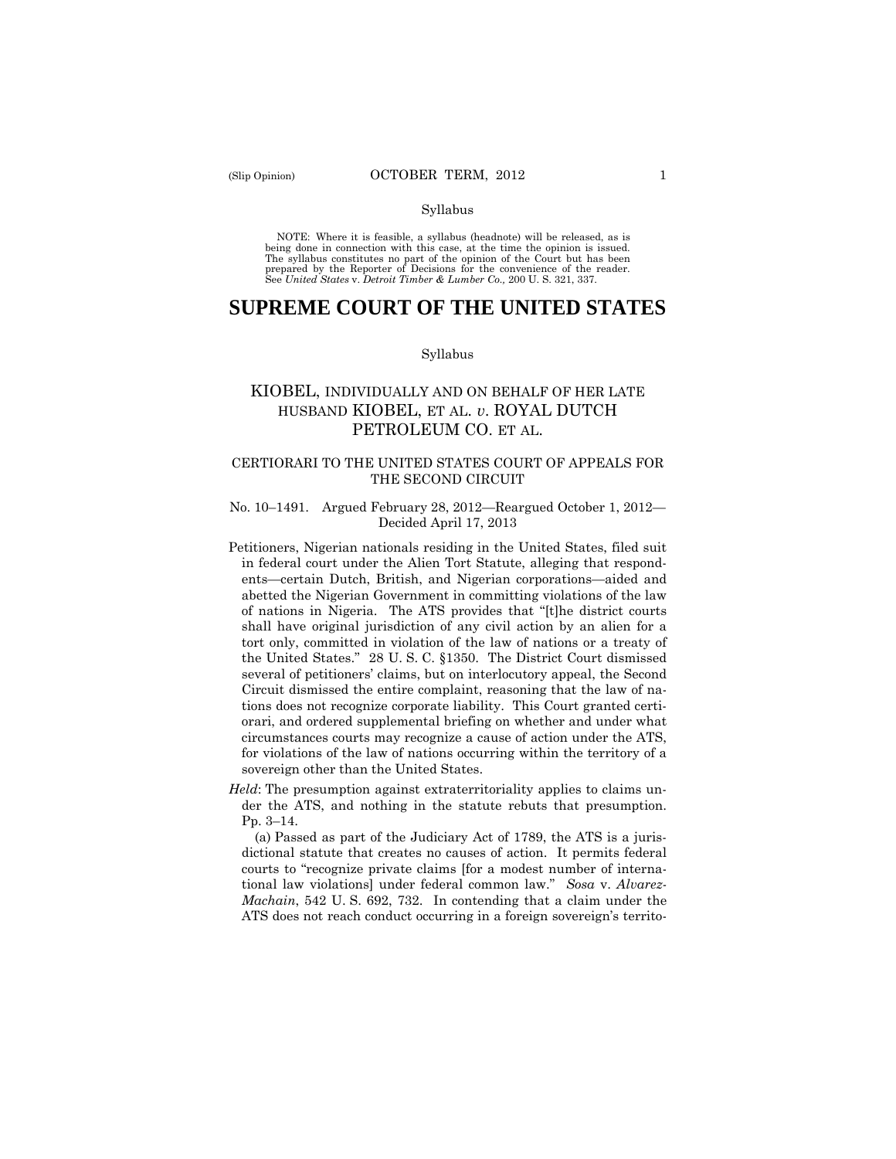#### Syllabus

 NOTE: Where it is feasible, a syllabus (headnote) will be released, as is being done in connection with this case, at the time the opinion is issued. The syllabus constitutes no part of the opinion of the Court but has been<br>prepared by the Reporter of Decisions for the convenience of the reader.<br>See United States v. Detroit Timber & Lumber Co., 200 U.S. 321, 337.

# **SUPREME COURT OF THE UNITED STATES**

#### Syllabus

# KIOBEL, INDIVIDUALLY AND ON BEHALF OF HER LATE HUSBAND KIOBEL, ET AL. *v*. ROYAL DUTCH PETROLEUM CO. ET AL.

# CERTIORARI TO THE UNITED STATES COURT OF APPEALS FOR THE SECOND CIRCUIT

# No. 10–1491. Argued February 28, 2012—Reargued October 1, 2012— Decided April 17, 2013

- the United States." 28 U. S. C. §1350. The District Court dismissed Petitioners, Nigerian nationals residing in the United States, filed suit in federal court under the Alien Tort Statute, alleging that respondents—certain Dutch, British, and Nigerian corporations—aided and abetted the Nigerian Government in committing violations of the law of nations in Nigeria. The ATS provides that "[t]he district courts shall have original jurisdiction of any civil action by an alien for a tort only, committed in violation of the law of nations or a treaty of several of petitioners' claims, but on interlocutory appeal, the Second Circuit dismissed the entire complaint, reasoning that the law of nations does not recognize corporate liability. This Court granted certiorari, and ordered supplemental briefing on whether and under what circumstances courts may recognize a cause of action under the ATS, for violations of the law of nations occurring within the territory of a sovereign other than the United States.
- der the ATS, and nothing in the statute rebuts that presumption. *Held*: The presumption against extraterritoriality applies to claims un-Pp. 3–14.

(a) Passed as part of the Judiciary Act of 1789, the ATS is a jurisdictional statute that creates no causes of action. It permits federal courts to "recognize private claims [for a modest number of international law violations] under federal common law." *Sosa* v. *Alvarez-Machain*, 542 U. S. 692, 732. In contending that a claim under the ATS does not reach conduct occurring in a foreign sovereign's territo-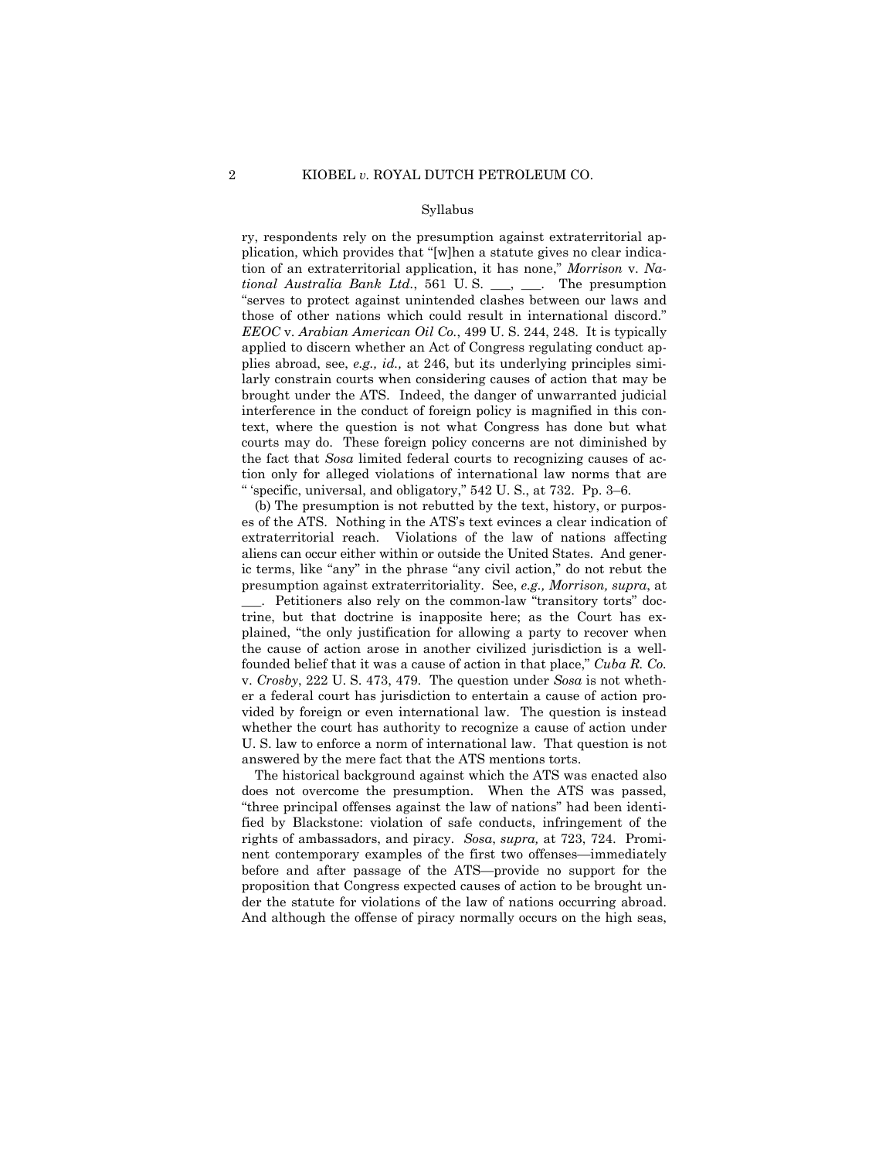#### Syllabus

ry, respondents rely on the presumption against extraterritorial application, which provides that "[w]hen a statute gives no clear indication of an extraterritorial application, it has none," *Morrison* v. *National Australia Bank Ltd.*, 561 U. S. \_\_\_, \_\_\_. The presumption "serves to protect against unintended clashes between our laws and those of other nations which could result in international discord." *EEOC* v. *Arabian American Oil Co.*, 499 U. S. 244, 248. It is typically applied to discern whether an Act of Congress regulating conduct applies abroad, see, *e.g., id.,* at 246, but its underlying principles similarly constrain courts when considering causes of action that may be brought under the ATS. Indeed, the danger of unwarranted judicial interference in the conduct of foreign policy is magnified in this context, where the question is not what Congress has done but what courts may do. These foreign policy concerns are not diminished by the fact that *Sosa* limited federal courts to recognizing causes of action only for alleged violations of international law norms that are " 'specific, universal, and obligatory," 542 U. S., at 732. Pp. 3–6.

 es of the ATS. Nothing in the ATS's text evinces a clear indication of (b) The presumption is not rebutted by the text, history, or purposextraterritorial reach. Violations of the law of nations affecting aliens can occur either within or outside the United States. And generic terms, like "any" in the phrase "any civil action," do not rebut the presumption against extraterritoriality. See, *e.g., Morrison, supra*, at

\_\_\_. Petitioners also rely on the common-law "transitory torts" doctrine, but that doctrine is inapposite here; as the Court has explained, "the only justification for allowing a party to recover when the cause of action arose in another civilized jurisdiction is a wellfounded belief that it was a cause of action in that place," *Cuba R. Co.*  v. *Crosby*, 222 U. S. 473, 479. The question under *Sosa* is not whether a federal court has jurisdiction to entertain a cause of action provided by foreign or even international law. The question is instead whether the court has authority to recognize a cause of action under U. S. law to enforce a norm of international law. That question is not answered by the mere fact that the ATS mentions torts.

The historical background against which the ATS was enacted also does not overcome the presumption. When the ATS was passed, "three principal offenses against the law of nations" had been identified by Blackstone: violation of safe conducts, infringement of the rights of ambassadors, and piracy. *Sosa*, *supra,* at 723, 724. Prominent contemporary examples of the first two offenses—immediately before and after passage of the ATS—provide no support for the proposition that Congress expected causes of action to be brought under the statute for violations of the law of nations occurring abroad. And although the offense of piracy normally occurs on the high seas,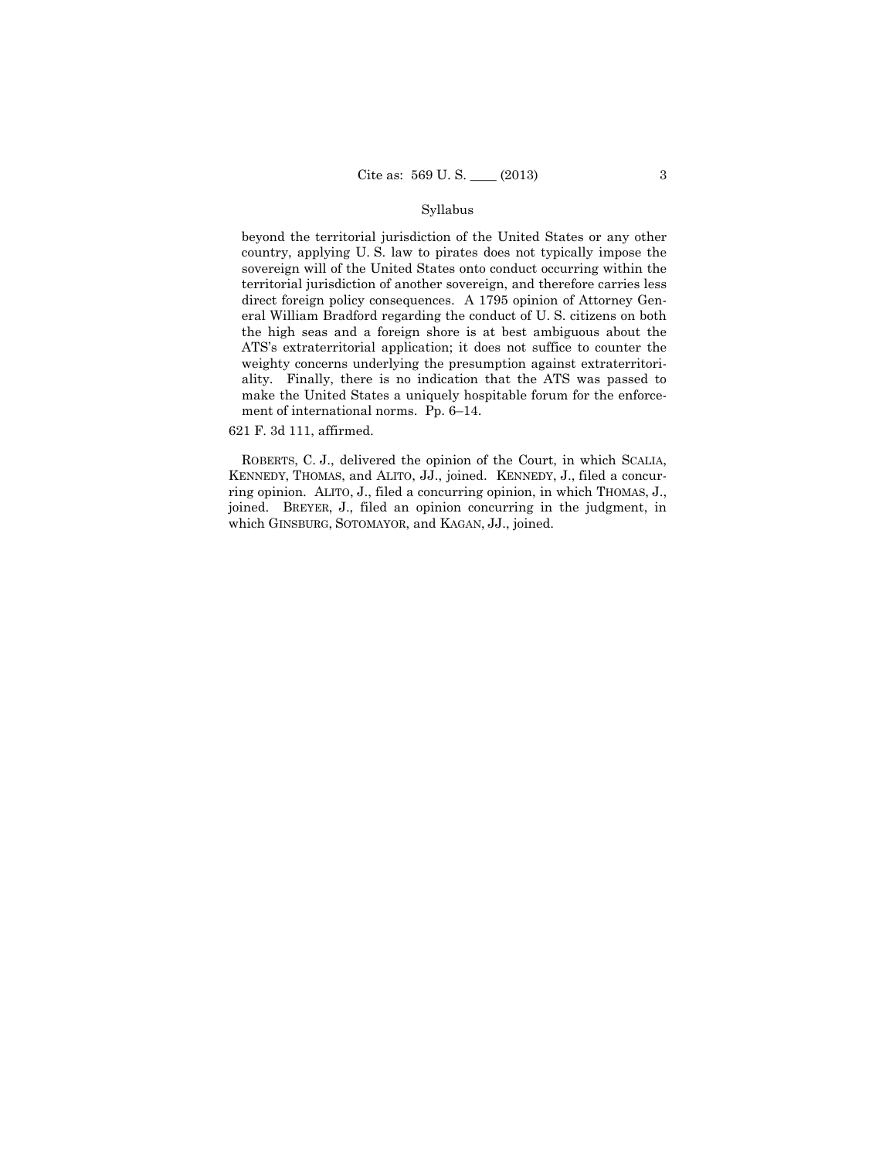### Syllabus

beyond the territorial jurisdiction of the United States or any other country, applying U. S. law to pirates does not typically impose the sovereign will of the United States onto conduct occurring within the territorial jurisdiction of another sovereign, and therefore carries less direct foreign policy consequences. A 1795 opinion of Attorney General William Bradford regarding the conduct of U. S. citizens on both the high seas and a foreign shore is at best ambiguous about the ATS's extraterritorial application; it does not suffice to counter the weighty concerns underlying the presumption against extraterritoriality. Finally, there is no indication that the ATS was passed to make the United States a uniquely hospitable forum for the enforcement of international norms. Pp. 6–14.

621 F. 3d 111, affirmed.

 KENNEDY, THOMAS, and ALITO, JJ., joined. KENNEDY, J., filed a concur- ring opinion. ALITO, J., filed a concurring opinion, in which THOMAS, J., ROBERTS, C. J., delivered the opinion of the Court, in which SCALIA, joined. BREYER, J., filed an opinion concurring in the judgment, in which GINSBURG, SOTOMAYOR, and KAGAN, JJ., joined.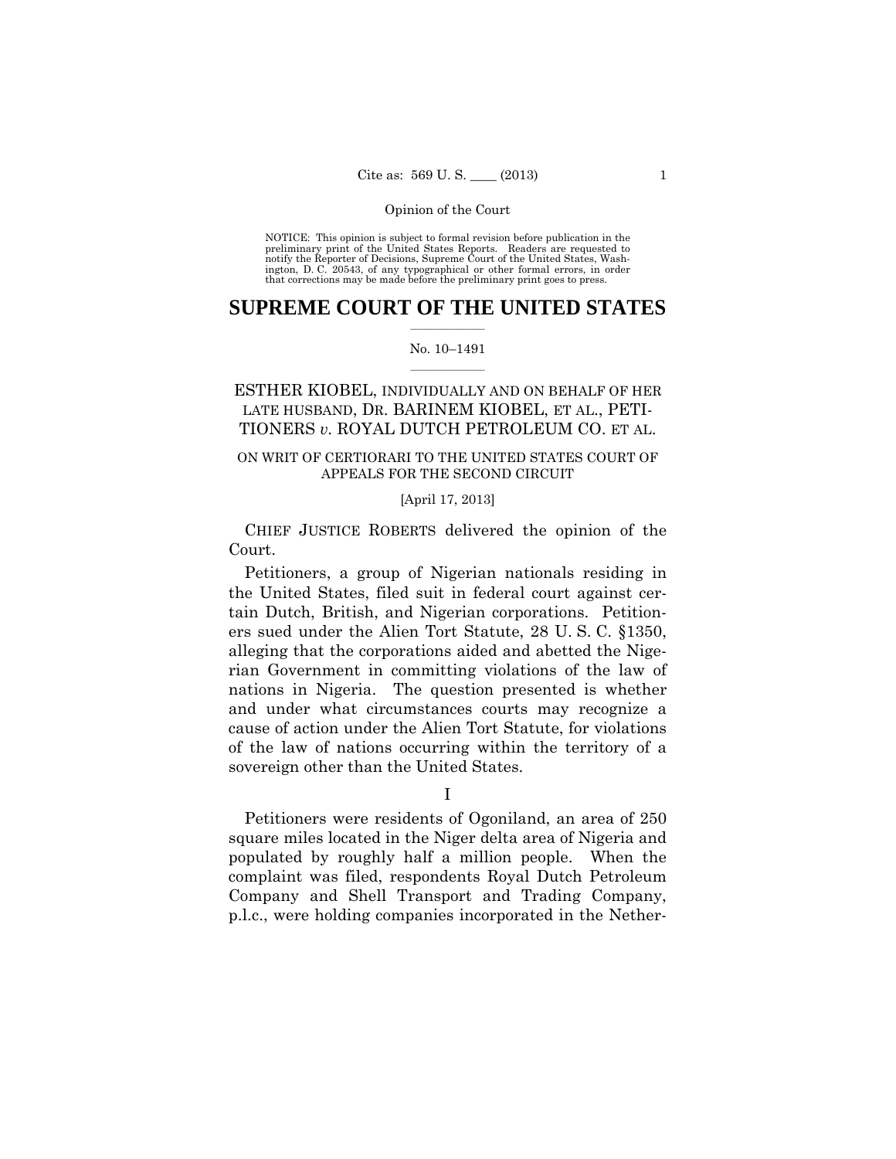preliminary print of the United States Reports. Readers are requested to notify the Reporter of Decisions, Supreme Court of the United States, Wash- ington, D. C. 20543, of any typographical or other formal errors, in order that corrections may be made before the preliminary print goes to press. NOTICE: This opinion is subject to formal revision before publication in the

# $\frac{1}{2}$  ,  $\frac{1}{2}$  ,  $\frac{1}{2}$  ,  $\frac{1}{2}$  ,  $\frac{1}{2}$  ,  $\frac{1}{2}$  ,  $\frac{1}{2}$ **SUPREME COURT OF THE UNITED STATES**

### $\frac{1}{2}$  ,  $\frac{1}{2}$  ,  $\frac{1}{2}$  ,  $\frac{1}{2}$  ,  $\frac{1}{2}$  ,  $\frac{1}{2}$ No. 10–1491

# ESTHER KIOBEL, INDIVIDUALLY AND ON BEHALF OF HER LATE HUSBAND, DR. BARINEM KIOBEL, ET AL., PETI-TIONERS *v.* ROYAL DUTCH PETROLEUM CO. ET AL.

# ON WRIT OF CERTIORARI TO THE UNITED STATES COURT OF APPEALS FOR THE SECOND CIRCUIT

# [April 17, 2013]

CHIEF JUSTICE ROBERTS delivered the opinion of the Court.

 of the law of nations occurring within the territory of a Petitioners, a group of Nigerian nationals residing in the United States, filed suit in federal court against certain Dutch, British, and Nigerian corporations. Petitioners sued under the Alien Tort Statute, 28 U. S. C. §1350, alleging that the corporations aided and abetted the Nigerian Government in committing violations of the law of nations in Nigeria. The question presented is whether and under what circumstances courts may recognize a cause of action under the Alien Tort Statute, for violations sovereign other than the United States.

I

Petitioners were residents of Ogoniland, an area of 250 square miles located in the Niger delta area of Nigeria and populated by roughly half a million people. When the complaint was filed, respondents Royal Dutch Petroleum Company and Shell Transport and Trading Company, p.l.c., were holding companies incorporated in the Nether-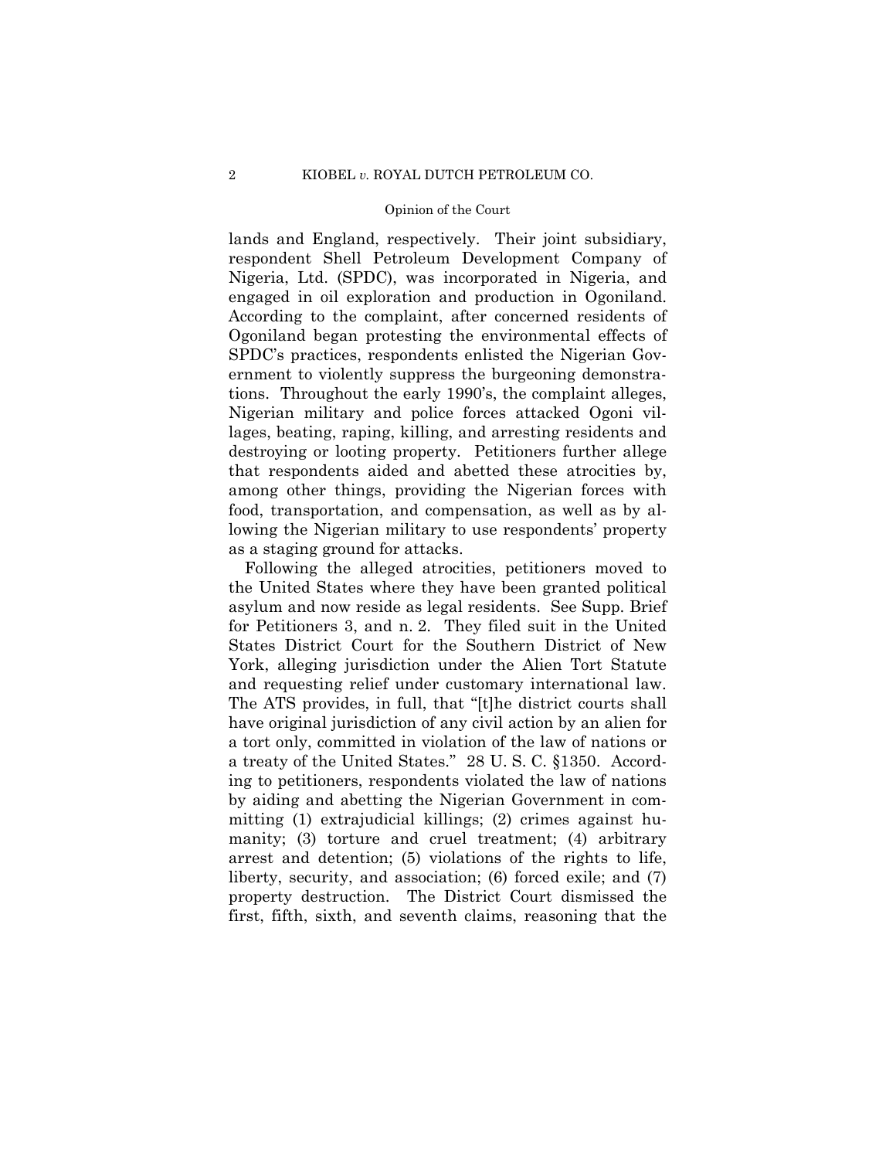lands and England, respectively. Their joint subsidiary, respondent Shell Petroleum Development Company of Nigeria, Ltd. (SPDC), was incorporated in Nigeria, and engaged in oil exploration and production in Ogoniland. According to the complaint, after concerned residents of Ogoniland began protesting the environmental effects of SPDC's practices, respondents enlisted the Nigerian Government to violently suppress the burgeoning demonstrations. Throughout the early 1990's, the complaint alleges, Nigerian military and police forces attacked Ogoni villages, beating, raping, killing, and arresting residents and destroying or looting property. Petitioners further allege that respondents aided and abetted these atrocities by, among other things, providing the Nigerian forces with food, transportation, and compensation, as well as by allowing the Nigerian military to use respondents' property as a staging ground for attacks.

 and requesting relief under customary international law. Following the alleged atrocities, petitioners moved to the United States where they have been granted political asylum and now reside as legal residents. See Supp. Brief for Petitioners 3, and n. 2. They filed suit in the United States District Court for the Southern District of New York, alleging jurisdiction under the Alien Tort Statute The ATS provides, in full, that "[t]he district courts shall have original jurisdiction of any civil action by an alien for a tort only, committed in violation of the law of nations or a treaty of the United States." 28 U. S. C. §1350. According to petitioners, respondents violated the law of nations by aiding and abetting the Nigerian Government in committing (1) extrajudicial killings; (2) crimes against humanity; (3) torture and cruel treatment; (4) arbitrary arrest and detention; (5) violations of the rights to life, liberty, security, and association; (6) forced exile; and (7) property destruction. The District Court dismissed the first, fifth, sixth, and seventh claims, reasoning that the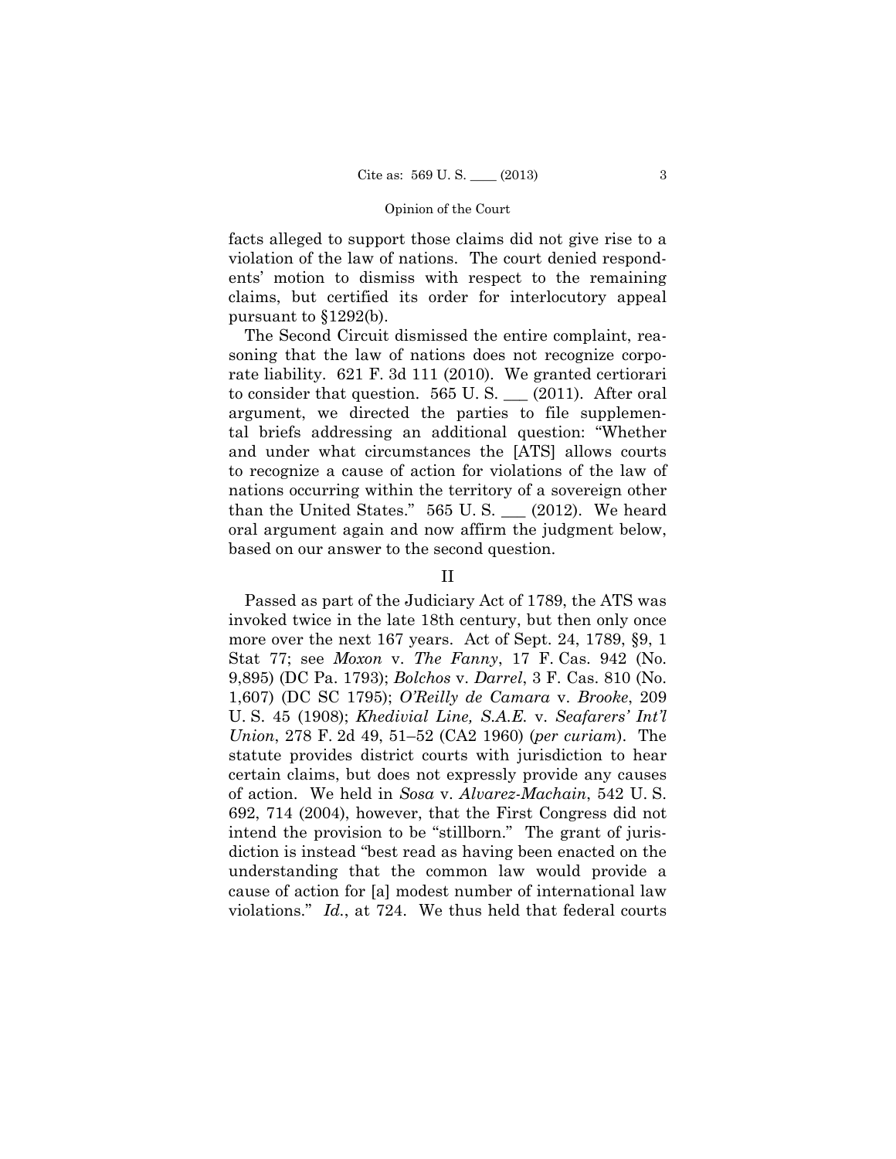facts alleged to support those claims did not give rise to a violation of the law of nations. The court denied respondents' motion to dismiss with respect to the remaining claims, but certified its order for interlocutory appeal pursuant to §1292(b).

The Second Circuit dismissed the entire complaint, reasoning that the law of nations does not recognize corporate liability. 621 F. 3d 111 (2010). We granted certiorari to consider that question. 565 U. S. \_\_\_ (2011). After oral argument, we directed the parties to file supplemental briefs addressing an additional question: "Whether and under what circumstances the [ATS] allows courts to recognize a cause of action for violations of the law of nations occurring within the territory of a sovereign other than the United States."  $565$  U.S.  $\_\_$  (2012). We heard oral argument again and now affirm the judgment below, based on our answer to the second question.

II

Passed as part of the Judiciary Act of 1789, the ATS was invoked twice in the late 18th century, but then only once more over the next 167 years. Act of Sept. 24, 1789, §9, 1 Stat 77; see *Moxon* v. *The Fanny*, 17 F. Cas. 942 (No. 9,895) (DC Pa. 1793); *Bolchos* v. *Darrel*, 3 F. Cas. 810 (No. 1,607) (DC SC 1795); *O'Reilly de Camara* v. *Brooke*, 209 U. S. 45 (1908); *Khedivial Line, S.A.E.* v. *Seafarers' Int'l Union*, 278 F. 2d 49, 51–52 (CA2 1960) (*per curiam*). The statute provides district courts with jurisdiction to hear certain claims, but does not expressly provide any causes of action. We held in *Sosa* v. *Alvarez-Machain*, 542 U. S. 692, 714 (2004), however, that the First Congress did not intend the provision to be "stillborn." The grant of jurisdiction is instead "best read as having been enacted on the understanding that the common law would provide a cause of action for [a] modest number of international law violations." *Id.*, at 724. We thus held that federal courts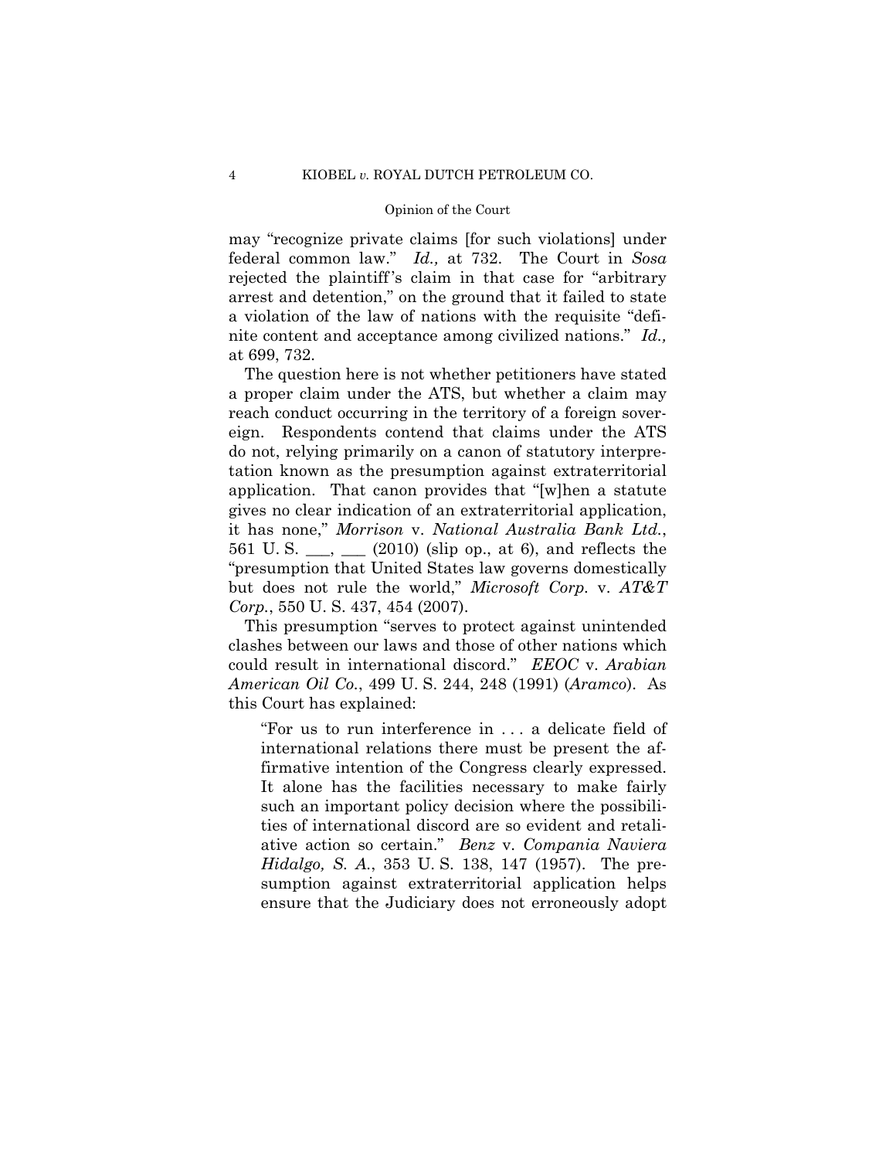may "recognize private claims [for such violations] under federal common law." *Id.,* at 732. The Court in *Sosa*  rejected the plaintiff 's claim in that case for "arbitrary arrest and detention," on the ground that it failed to state a violation of the law of nations with the requisite "definite content and acceptance among civilized nations." *Id.,*  at 699, 732.

The question here is not whether petitioners have stated a proper claim under the ATS, but whether a claim may reach conduct occurring in the territory of a foreign sovereign. Respondents contend that claims under the ATS do not, relying primarily on a canon of statutory interpretation known as the presumption against extraterritorial application. That canon provides that "[w]hen a statute gives no clear indication of an extraterritorial application, it has none," *Morrison* v. *National Australia Bank Ltd.*, 561 U.S.  $\frac{1}{2}$ ,  $\frac{1}{2010}$  (slip op., at 6), and reflects the "presumption that United States law governs domestically but does not rule the world," *Microsoft Corp.* v. *AT&T Corp.*, 550 U. S. 437, 454 (2007).

This presumption "serves to protect against unintended clashes between our laws and those of other nations which could result in international discord." *EEOC* v. *Arabian American Oil Co.*, 499 U. S. 244, 248 (1991) (*Aramco*). As this Court has explained:

"For us to run interference in . . . a delicate field of international relations there must be present the affirmative intention of the Congress clearly expressed. It alone has the facilities necessary to make fairly such an important policy decision where the possibilities of international discord are so evident and retaliative action so certain." *Benz* v. *Compania Naviera Hidalgo, S. A.*, 353 U. S. 138, 147 (1957). The presumption against extraterritorial application helps ensure that the Judiciary does not erroneously adopt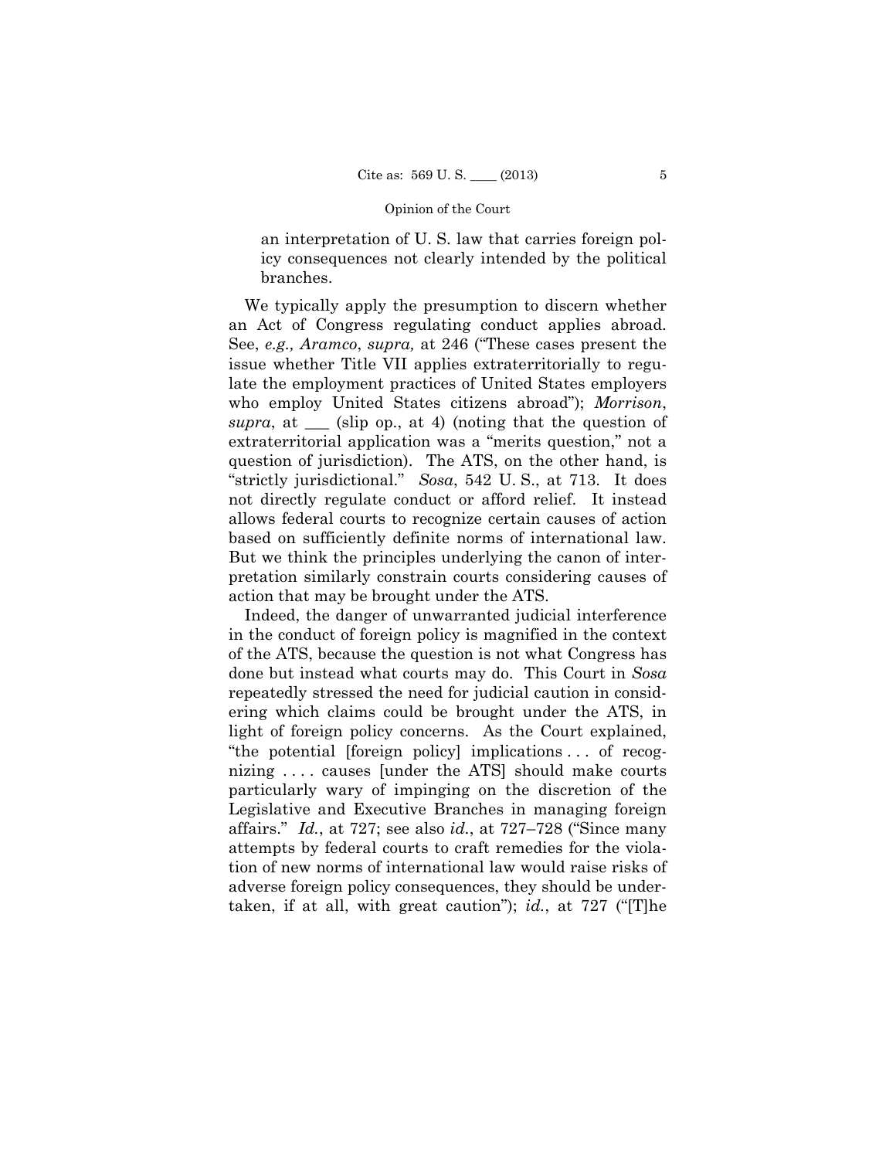an interpretation of U. S. law that carries foreign policy consequences not clearly intended by the political branches.

 an Act of Congress regulating conduct applies abroad. We typically apply the presumption to discern whether See, *e.g., Aramco*, *supra,* at 246 ("These cases present the issue whether Title VII applies extraterritorially to regulate the employment practices of United States employers who employ United States citizens abroad"); *Morrison*, *supra*, at \_\_\_ (slip op., at 4) (noting that the question of extraterritorial application was a "merits question," not a question of jurisdiction). The ATS, on the other hand, is "strictly jurisdictional." *Sosa*, 542 U. S., at 713. It does not directly regulate conduct or afford relief. It instead allows federal courts to recognize certain causes of action based on sufficiently definite norms of international law. But we think the principles underlying the canon of interpretation similarly constrain courts considering causes of action that may be brought under the ATS.

Indeed, the danger of unwarranted judicial interference in the conduct of foreign policy is magnified in the context of the ATS, because the question is not what Congress has done but instead what courts may do. This Court in *Sosa*  repeatedly stressed the need for judicial caution in considering which claims could be brought under the ATS, in light of foreign policy concerns. As the Court explained, "the potential [foreign policy] implications . . . of recognizing . . . . causes [under the ATS] should make courts particularly wary of impinging on the discretion of the Legislative and Executive Branches in managing foreign affairs." *Id.*, at 727; see also *id.*, at 727–728 ("Since many attempts by federal courts to craft remedies for the violation of new norms of international law would raise risks of adverse foreign policy consequences, they should be undertaken, if at all, with great caution"); *id.*, at 727 ("[T]he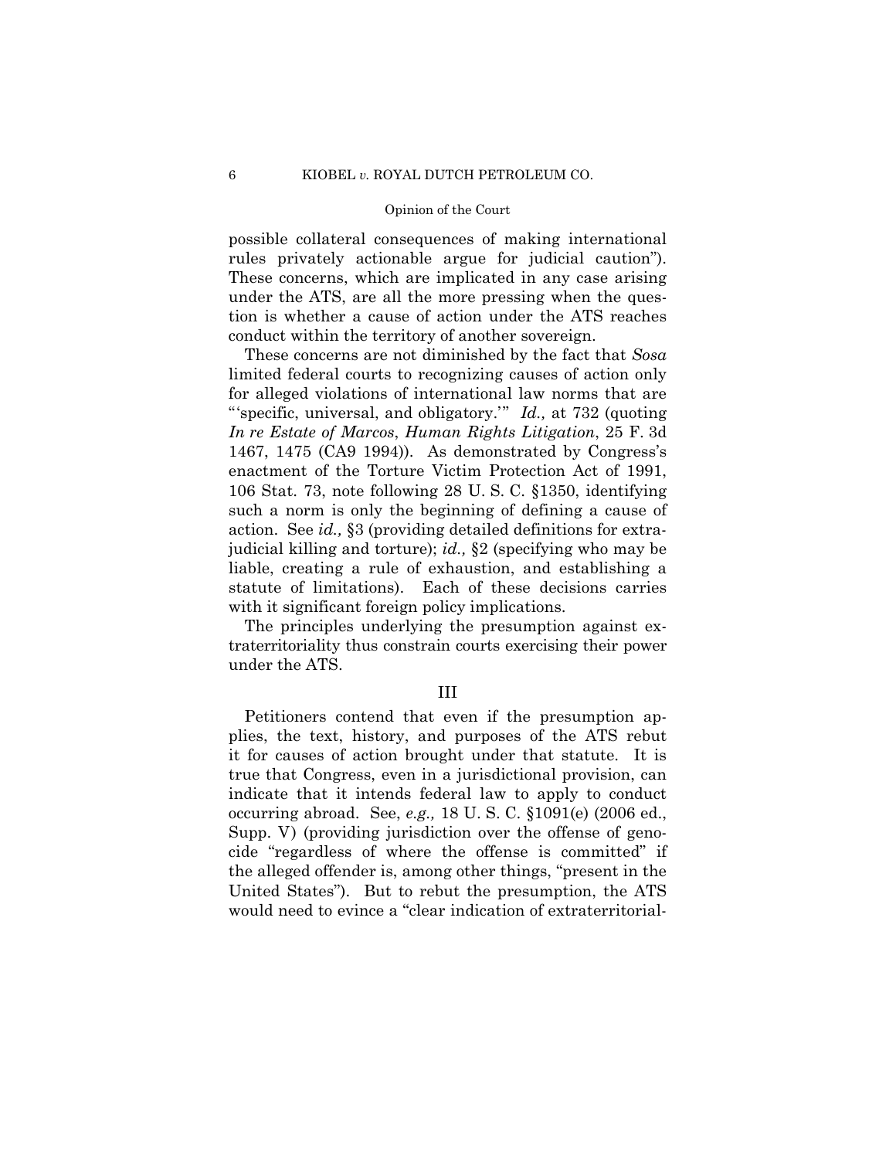possible collateral consequences of making international rules privately actionable argue for judicial caution"). These concerns, which are implicated in any case arising under the ATS, are all the more pressing when the question is whether a cause of action under the ATS reaches conduct within the territory of another sovereign.

These concerns are not diminished by the fact that *Sosa*  limited federal courts to recognizing causes of action only for alleged violations of international law norms that are "'specific, universal, and obligatory.'" *Id.,* at 732 (quoting *In re Estate of Marcos*, *Human Rights Litigation*, 25 F. 3d 1467, 1475 (CA9 1994)). As demonstrated by Congress's enactment of the Torture Victim Protection Act of 1991, 106 Stat. 73, note following 28 U. S. C. §1350, identifying such a norm is only the beginning of defining a cause of action. See *id.,* §3 (providing detailed definitions for extrajudicial killing and torture); *id.,* §2 (specifying who may be liable, creating a rule of exhaustion, and establishing a statute of limitations). Each of these decisions carries with it significant foreign policy implications.

The principles underlying the presumption against extraterritoriality thus constrain courts exercising their power under the ATS.

# III

Petitioners contend that even if the presumption applies, the text, history, and purposes of the ATS rebut it for causes of action brought under that statute. It is true that Congress, even in a jurisdictional provision, can indicate that it intends federal law to apply to conduct occurring abroad. See, *e.g.,* 18 U. S. C. §1091(e) (2006 ed., Supp. V) (providing jurisdiction over the offense of genocide "regardless of where the offense is committed" if the alleged offender is, among other things, "present in the United States"). But to rebut the presumption, the ATS would need to evince a "clear indication of extraterritorial-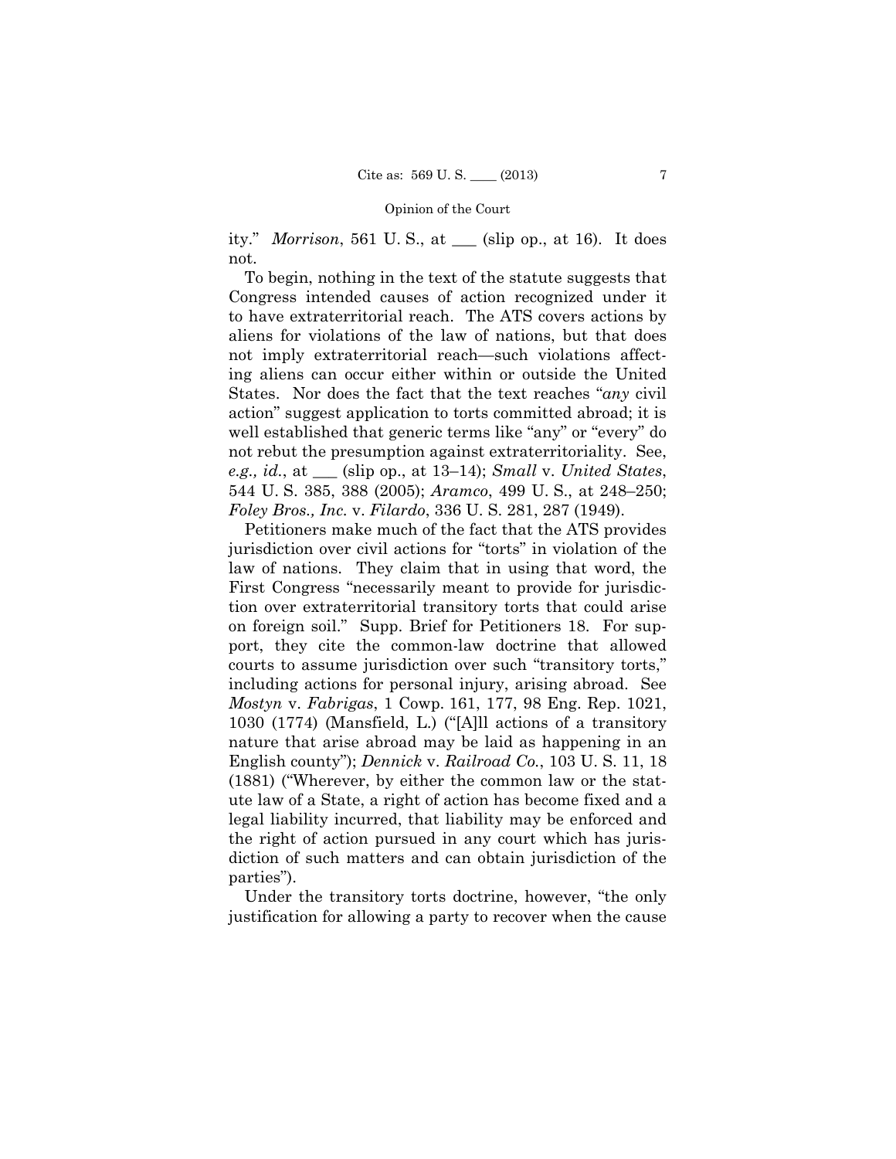ity." *Morrison*, 561 U. S., at \_\_\_ (slip op., at 16). It does not.

To begin, nothing in the text of the statute suggests that Congress intended causes of action recognized under it to have extraterritorial reach. The ATS covers actions by aliens for violations of the law of nations, but that does not imply extraterritorial reach—such violations affecting aliens can occur either within or outside the United States. Nor does the fact that the text reaches "*any* civil action" suggest application to torts committed abroad; it is well established that generic terms like "any" or "every" do not rebut the presumption against extraterritoriality. See, *e.g., id.*, at \_\_\_ (slip op., at 13–14); *Small* v. *United States*, 544 U. S. 385, 388 (2005); *Aramco*, 499 U. S., at 248–250; *Foley Bros., Inc.* v. *Filardo*, 336 U. S. 281, 287 (1949).

Petitioners make much of the fact that the ATS provides jurisdiction over civil actions for "torts" in violation of the law of nations. They claim that in using that word, the First Congress "necessarily meant to provide for jurisdiction over extraterritorial transitory torts that could arise on foreign soil." Supp. Brief for Petitioners 18. For support, they cite the common-law doctrine that allowed courts to assume jurisdiction over such "transitory torts," including actions for personal injury, arising abroad. See *Mostyn* v. *Fabrigas*, 1 Cowp. 161, 177, 98 Eng. Rep. 1021, 1030 (1774) (Mansfield, L.) ("[A]ll actions of a transitory nature that arise abroad may be laid as happening in an English county"); *Dennick* v. *Railroad Co.*, 103 U. S. 11, 18 (1881) ("Wherever, by either the common law or the statute law of a State, a right of action has become fixed and a legal liability incurred, that liability may be enforced and the right of action pursued in any court which has jurisdiction of such matters and can obtain jurisdiction of the parties").

Under the transitory torts doctrine, however, "the only justification for allowing a party to recover when the cause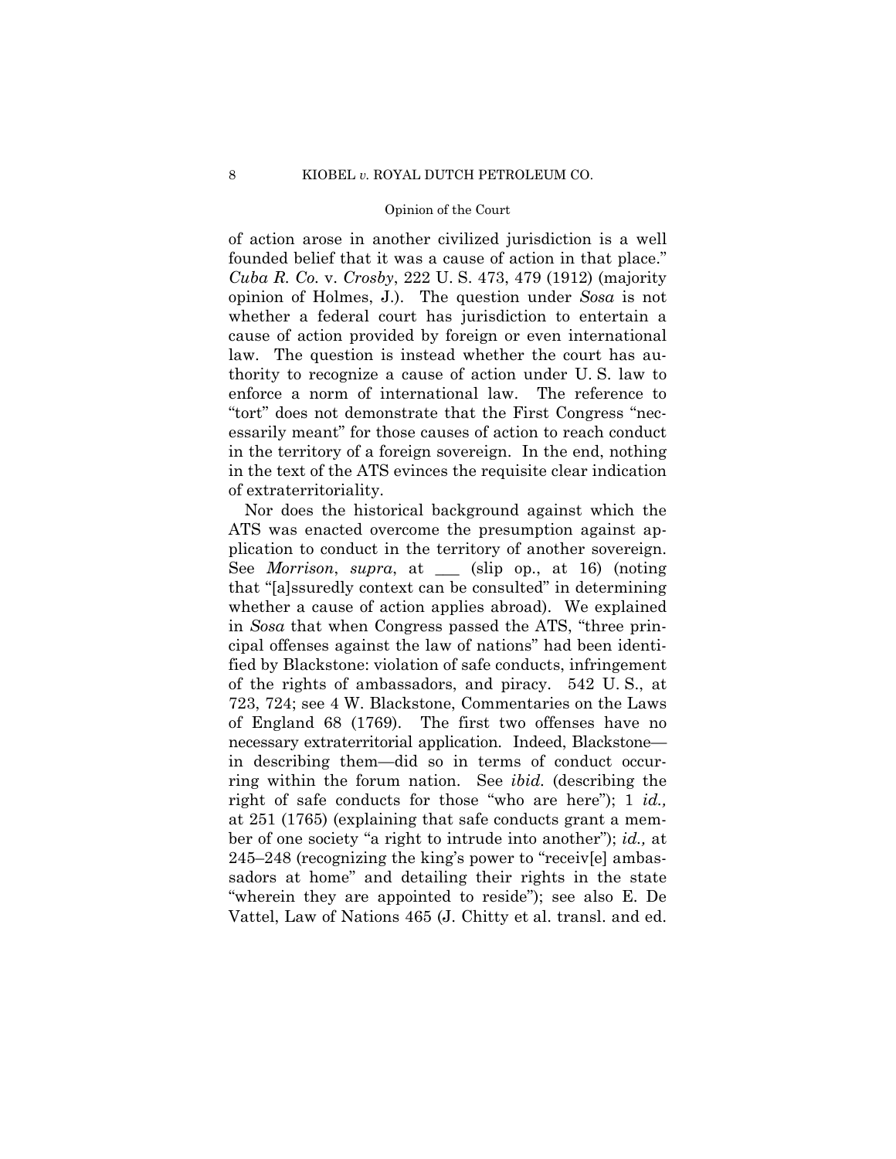of action arose in another civilized jurisdiction is a well founded belief that it was a cause of action in that place." *Cuba R. Co.* v. *Crosby*, 222 U. S. 473, 479 (1912) (majority opinion of Holmes, J.). The question under *Sosa* is not whether a federal court has jurisdiction to entertain a cause of action provided by foreign or even international law. The question is instead whether the court has authority to recognize a cause of action under U. S. law to enforce a norm of international law. The reference to "tort" does not demonstrate that the First Congress "necessarily meant" for those causes of action to reach conduct in the territory of a foreign sovereign. In the end, nothing in the text of the ATS evinces the requisite clear indication of extraterritoriality.

Nor does the historical background against which the ATS was enacted overcome the presumption against application to conduct in the territory of another sovereign. See *Morrison*, *supra*, at \_\_\_ (slip op., at 16) (noting that "[a]ssuredly context can be consulted" in determining whether a cause of action applies abroad). We explained in *Sosa* that when Congress passed the ATS, "three principal offenses against the law of nations" had been identified by Blackstone: violation of safe conducts, infringement of the rights of ambassadors, and piracy. 542 U. S., at 723, 724; see 4 W. Blackstone, Commentaries on the Laws of England 68 (1769). The first two offenses have no necessary extraterritorial application. Indeed, Blackstone in describing them—did so in terms of conduct occurring within the forum nation. See *ibid.* (describing the right of safe conducts for those "who are here"); 1 *id.,*  at 251 (1765) (explaining that safe conducts grant a member of one society "a right to intrude into another"); *id.,* at 245–248 (recognizing the king's power to "receiv[e] ambassadors at home" and detailing their rights in the state "wherein they are appointed to reside"); see also E. De Vattel, Law of Nations 465 (J. Chitty et al. transl. and ed.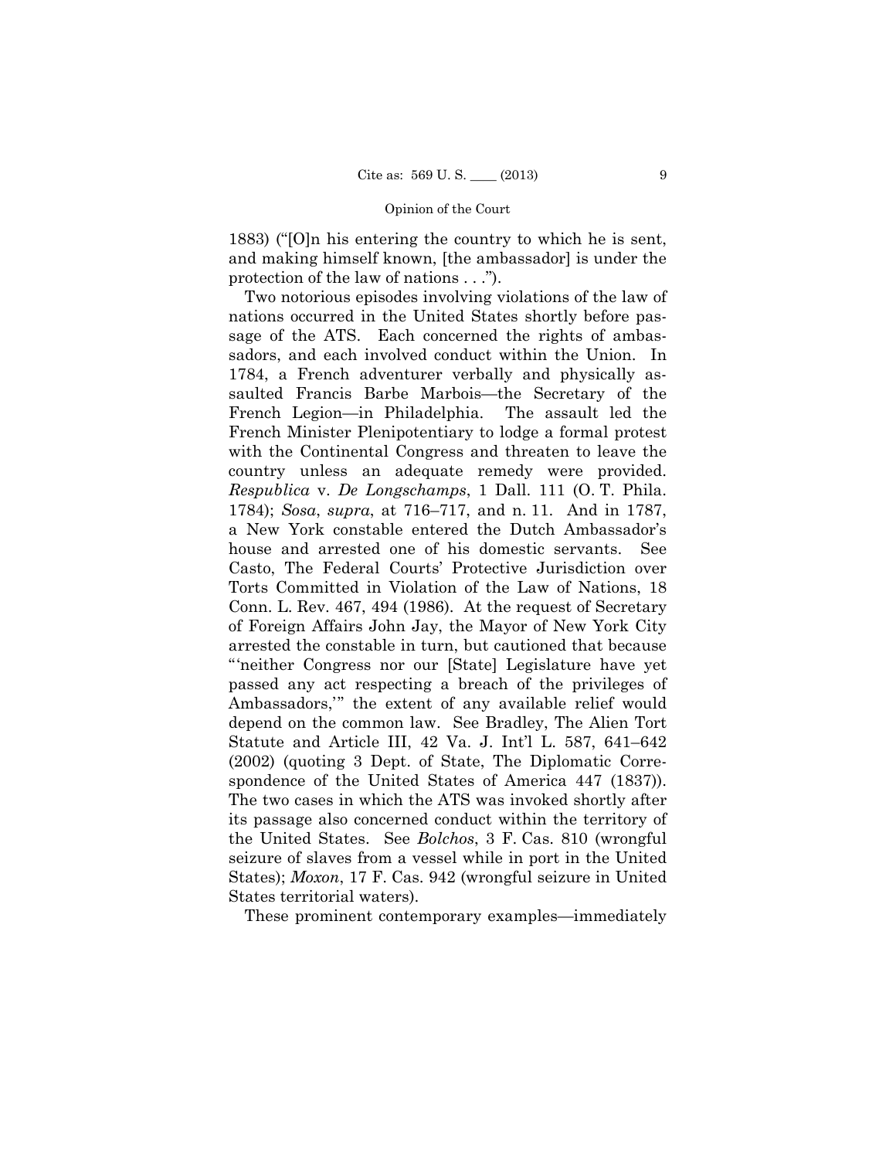1883) ("[O]n his entering the country to which he is sent, and making himself known, [the ambassador] is under the protection of the law of nations . . .").

 country unless an adequate remedy were provided. Two notorious episodes involving violations of the law of nations occurred in the United States shortly before passage of the ATS. Each concerned the rights of ambassadors, and each involved conduct within the Union. In 1784, a French adventurer verbally and physically assaulted Francis Barbe Marbois—the Secretary of the French Legion—in Philadelphia. The assault led the French Minister Plenipotentiary to lodge a formal protest with the Continental Congress and threaten to leave the *Respublica* v. *De Longschamps*, 1 Dall. 111 (O. T. Phila. 1784); *Sosa*, *supra*, at 716–717, and n. 11. And in 1787, a New York constable entered the Dutch Ambassador's house and arrested one of his domestic servants. See Casto, The Federal Courts' Protective Jurisdiction over Torts Committed in Violation of the Law of Nations, 18 Conn. L. Rev. 467, 494 (1986). At the request of Secretary of Foreign Affairs John Jay, the Mayor of New York City arrested the constable in turn, but cautioned that because "'neither Congress nor our [State] Legislature have yet passed any act respecting a breach of the privileges of Ambassadors,'" the extent of any available relief would depend on the common law. See Bradley, The Alien Tort Statute and Article III, 42 Va. J. Int'l L. 587, 641–642 (2002) (quoting 3 Dept. of State, The Diplomatic Correspondence of the United States of America 447 (1837)). The two cases in which the ATS was invoked shortly after its passage also concerned conduct within the territory of the United States. See *Bolchos*, 3 F. Cas. 810 (wrongful seizure of slaves from a vessel while in port in the United States); *Moxon*, 17 F. Cas. 942 (wrongful seizure in United States territorial waters).

These prominent contemporary examples—immediately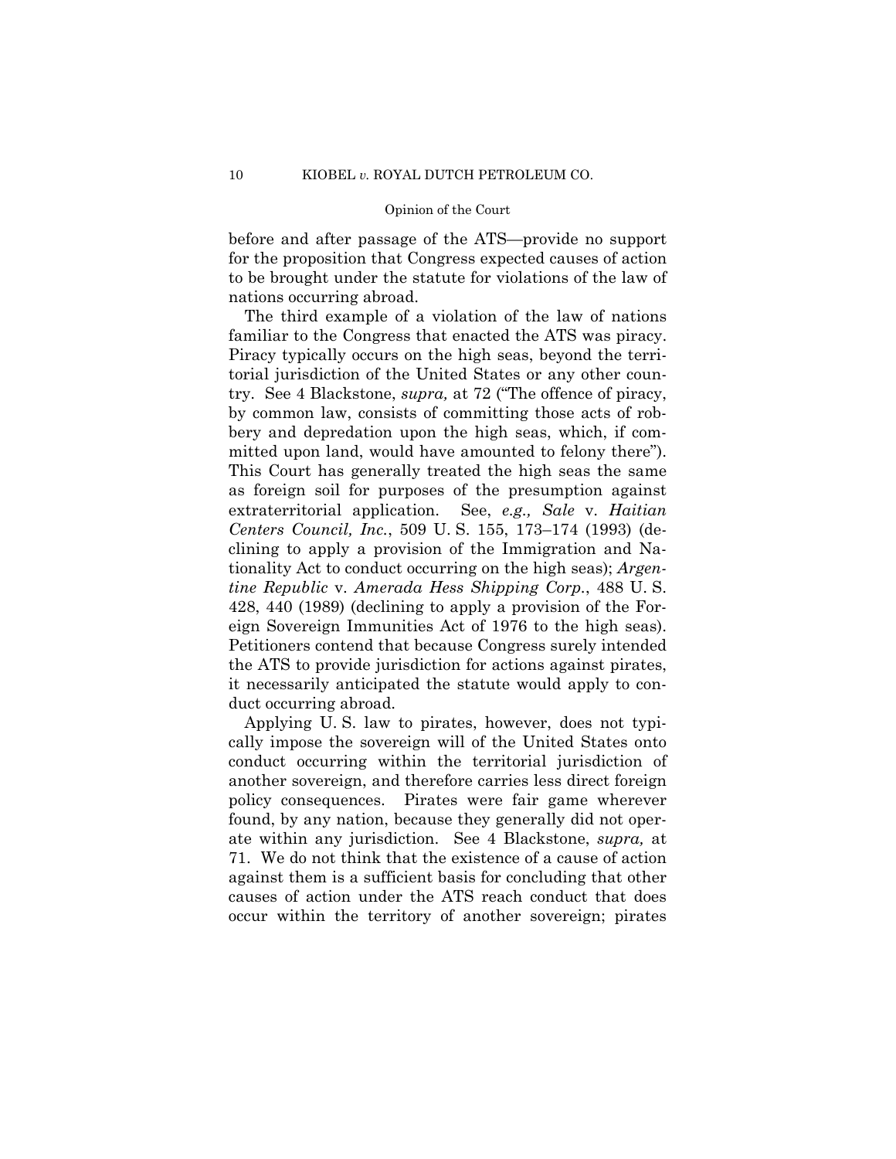before and after passage of the ATS—provide no support for the proposition that Congress expected causes of action to be brought under the statute for violations of the law of nations occurring abroad.

The third example of a violation of the law of nations familiar to the Congress that enacted the ATS was piracy. Piracy typically occurs on the high seas, beyond the territorial jurisdiction of the United States or any other country. See 4 Blackstone, *supra,* at 72 ("The offence of piracy, by common law, consists of committing those acts of robbery and depredation upon the high seas, which, if committed upon land, would have amounted to felony there"). This Court has generally treated the high seas the same as foreign soil for purposes of the presumption against extraterritorial application. See, *e.g., Sale* v. *Haitian Centers Council, Inc.*, 509 U. S. 155, 173–174 (1993) (declining to apply a provision of the Immigration and Nationality Act to conduct occurring on the high seas); *Argentine Republic* v. *Amerada Hess Shipping Corp.*, 488 U. S. 428, 440 (1989) (declining to apply a provision of the Foreign Sovereign Immunities Act of 1976 to the high seas). Petitioners contend that because Congress surely intended the ATS to provide jurisdiction for actions against pirates, it necessarily anticipated the statute would apply to conduct occurring abroad.

Applying U. S. law to pirates, however, does not typically impose the sovereign will of the United States onto conduct occurring within the territorial jurisdiction of another sovereign, and therefore carries less direct foreign policy consequences. Pirates were fair game wherever found, by any nation, because they generally did not operate within any jurisdiction. See 4 Blackstone, *supra,* at 71. We do not think that the existence of a cause of action against them is a sufficient basis for concluding that other causes of action under the ATS reach conduct that does occur within the territory of another sovereign; pirates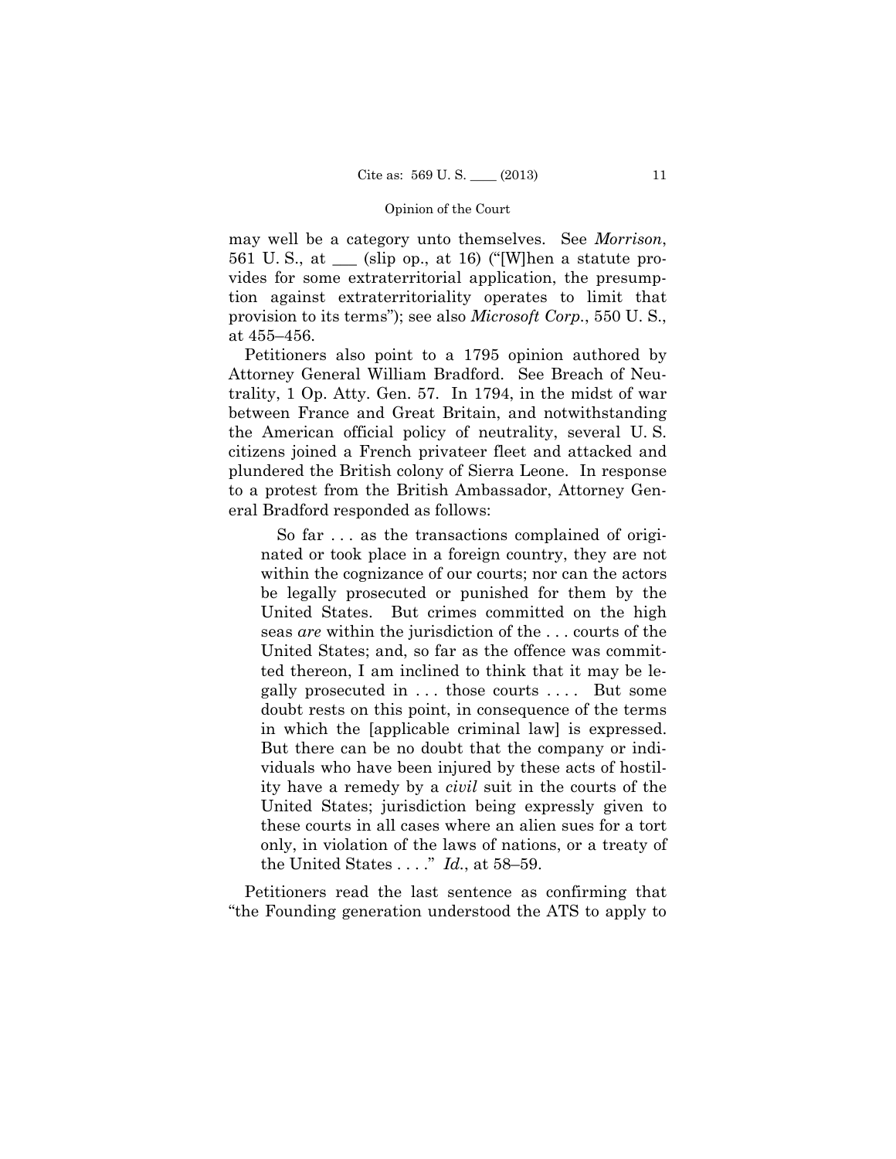may well be a category unto themselves. See *Morrison*, 561 U. S., at \_\_\_ (slip op., at 16) ("[W]hen a statute provides for some extraterritorial application, the presumption against extraterritoriality operates to limit that provision to its terms"); see also *Microsoft Corp.*, 550 U. S., at 455–456.

Petitioners also point to a 1795 opinion authored by Attorney General William Bradford. See Breach of Neutrality, 1 Op. Atty. Gen. 57. In 1794, in the midst of war between France and Great Britain, and notwithstanding the American official policy of neutrality, several U. S. citizens joined a French privateer fleet and attacked and plundered the British colony of Sierra Leone. In response to a protest from the British Ambassador, Attorney General Bradford responded as follows:

So far . . . as the transactions complained of originated or took place in a foreign country, they are not within the cognizance of our courts; nor can the actors be legally prosecuted or punished for them by the United States. But crimes committed on the high seas *are* within the jurisdiction of the . . . courts of the United States; and, so far as the offence was committed thereon, I am inclined to think that it may be legally prosecuted in . . . those courts . . . . But some doubt rests on this point, in consequence of the terms in which the [applicable criminal law] is expressed. But there can be no doubt that the company or individuals who have been injured by these acts of hostility have a remedy by a *civil* suit in the courts of the United States; jurisdiction being expressly given to these courts in all cases where an alien sues for a tort only, in violation of the laws of nations, or a treaty of the United States . . . ." *Id.*, at 58–59.

Petitioners read the last sentence as confirming that "the Founding generation understood the ATS to apply to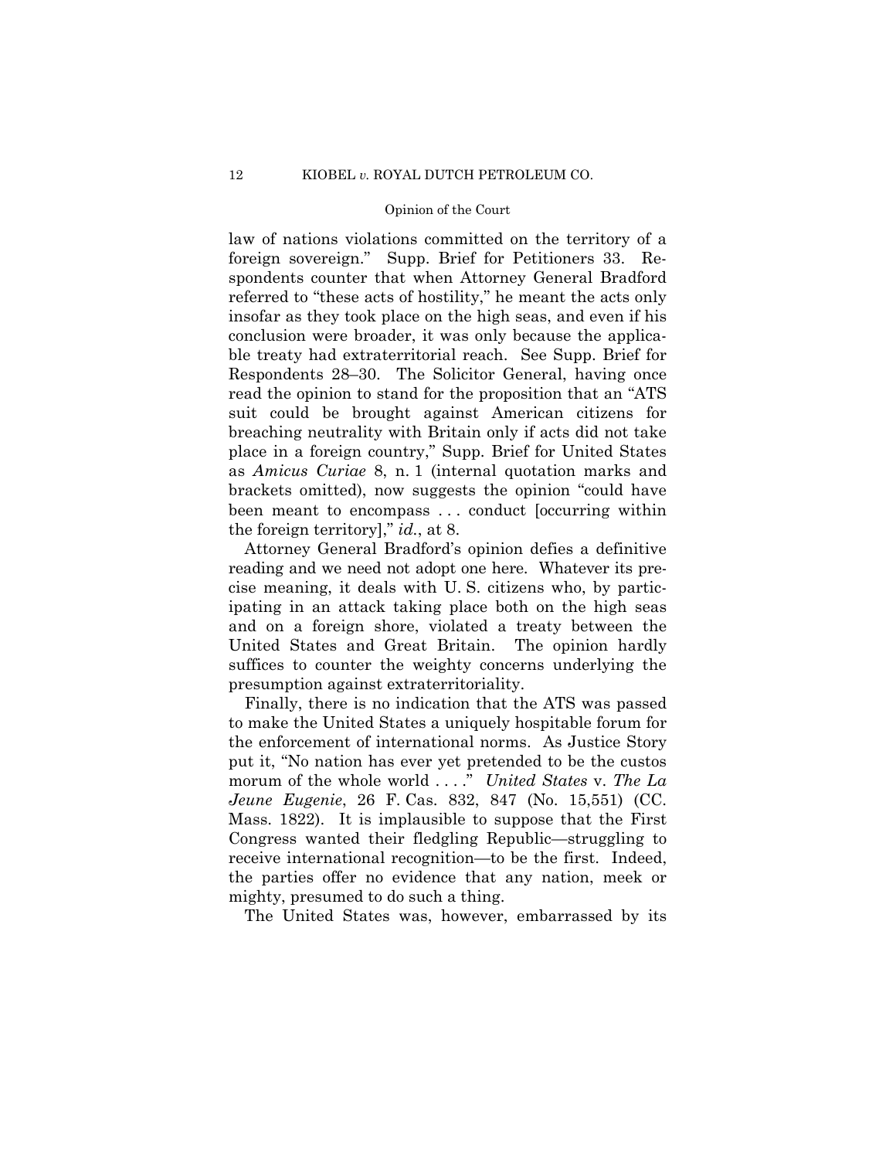law of nations violations committed on the territory of a foreign sovereign." Supp. Brief for Petitioners 33. Respondents counter that when Attorney General Bradford referred to "these acts of hostility," he meant the acts only insofar as they took place on the high seas, and even if his conclusion were broader, it was only because the applicable treaty had extraterritorial reach. See Supp. Brief for Respondents 28–30. The Solicitor General, having once read the opinion to stand for the proposition that an "ATS suit could be brought against American citizens for breaching neutrality with Britain only if acts did not take place in a foreign country," Supp. Brief for United States as *Amicus Curiae* 8, n. 1 (internal quotation marks and brackets omitted), now suggests the opinion "could have been meant to encompass . . . conduct [occurring within the foreign territory]," *id.*, at 8.

 Attorney General Bradford's opinion defies a definitive reading and we need not adopt one here. Whatever its precise meaning, it deals with U. S. citizens who, by participating in an attack taking place both on the high seas and on a foreign shore, violated a treaty between the United States and Great Britain. The opinion hardly suffices to counter the weighty concerns underlying the presumption against extraterritoriality.

Finally, there is no indication that the ATS was passed to make the United States a uniquely hospitable forum for the enforcement of international norms. As Justice Story put it, "No nation has ever yet pretended to be the custos morum of the whole world . . . ." *United States* v. *The La Jeune Eugenie*, 26 F. Cas. 832, 847 (No. 15,551) (CC. Mass. 1822). It is implausible to suppose that the First Congress wanted their fledgling Republic—struggling to receive international recognition—to be the first. Indeed, the parties offer no evidence that any nation, meek or mighty, presumed to do such a thing.

The United States was, however, embarrassed by its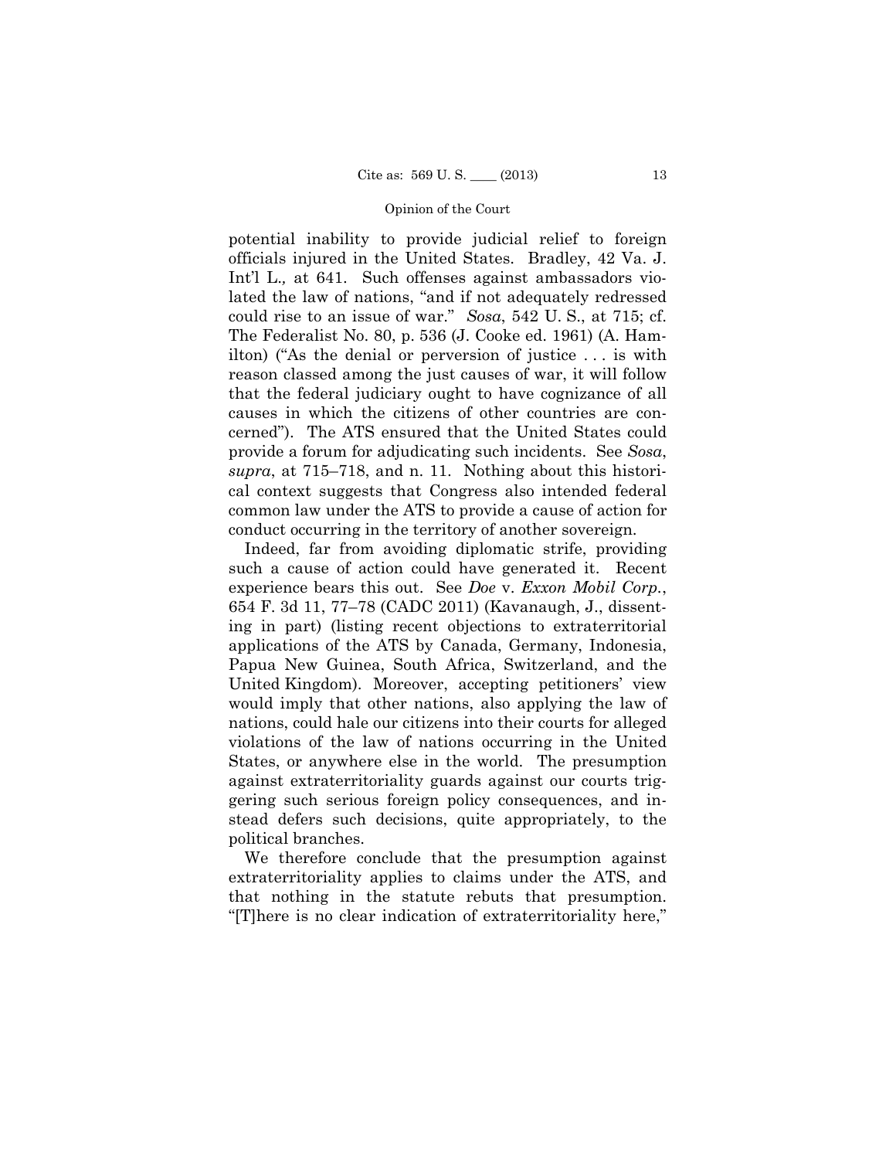potential inability to provide judicial relief to foreign officials injured in the United States. Bradley, 42 Va. J. Int'l L., at 641. Such offenses against ambassadors violated the law of nations, "and if not adequately redressed could rise to an issue of war." *Sosa*, 542 U. S., at 715; cf. The Federalist No. 80, p. 536 (J. Cooke ed. 1961) (A. Hamilton) ("As the denial or perversion of justice . . . is with reason classed among the just causes of war, it will follow that the federal judiciary ought to have cognizance of all causes in which the citizens of other countries are concerned"). The ATS ensured that the United States could provide a forum for adjudicating such incidents. See *Sosa*, *supra*, at 715–718, and n. 11. Nothing about this historical context suggests that Congress also intended federal common law under the ATS to provide a cause of action for conduct occurring in the territory of another sovereign.

Indeed, far from avoiding diplomatic strife, providing such a cause of action could have generated it. Recent experience bears this out. See *Doe* v. *Exxon Mobil Corp.*, 654 F. 3d 11, 77–78 (CADC 2011) (Kavanaugh, J., dissenting in part) (listing recent objections to extraterritorial applications of the ATS by Canada, Germany, Indonesia, Papua New Guinea, South Africa, Switzerland, and the United Kingdom). Moreover, accepting petitioners' view would imply that other nations, also applying the law of nations, could hale our citizens into their courts for alleged violations of the law of nations occurring in the United States, or anywhere else in the world. The presumption against extraterritoriality guards against our courts triggering such serious foreign policy consequences, and instead defers such decisions, quite appropriately, to the political branches.

We therefore conclude that the presumption against extraterritoriality applies to claims under the ATS, and that nothing in the statute rebuts that presumption. "[T]here is no clear indication of extraterritoriality here,"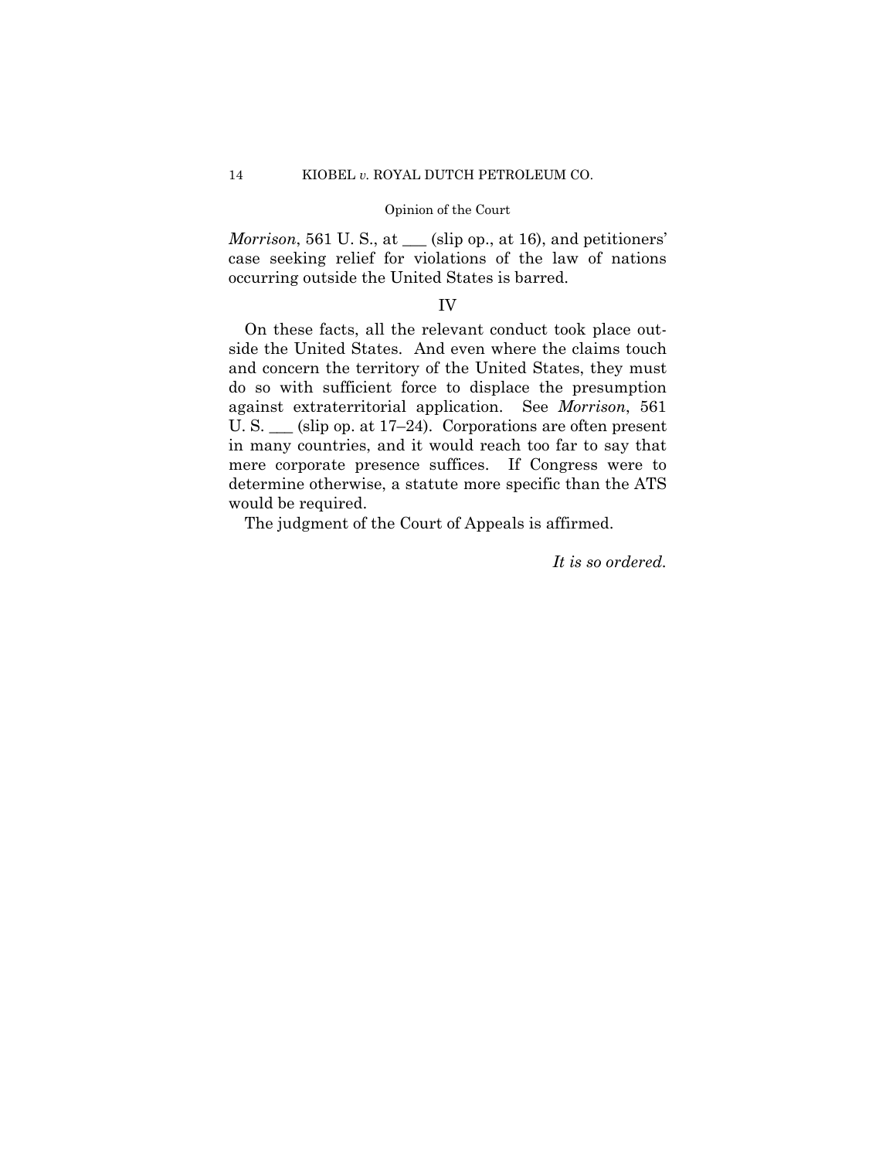*Morrison*, 561 U.S., at <u>equal</u> (slip op., at 16), and petitioners' case seeking relief for violations of the law of nations occurring outside the United States is barred.

# IV

On these facts, all the relevant conduct took place outside the United States. And even where the claims touch and concern the territory of the United States, they must do so with sufficient force to displace the presumption against extraterritorial application. See *Morrison*, 561 U. S.  $\_\_$  (slip op. at 17–24). Corporations are often present in many countries, and it would reach too far to say that mere corporate presence suffices. If Congress were to determine otherwise, a statute more specific than the ATS would be required.

The judgment of the Court of Appeals is affirmed.

*It is so ordered.*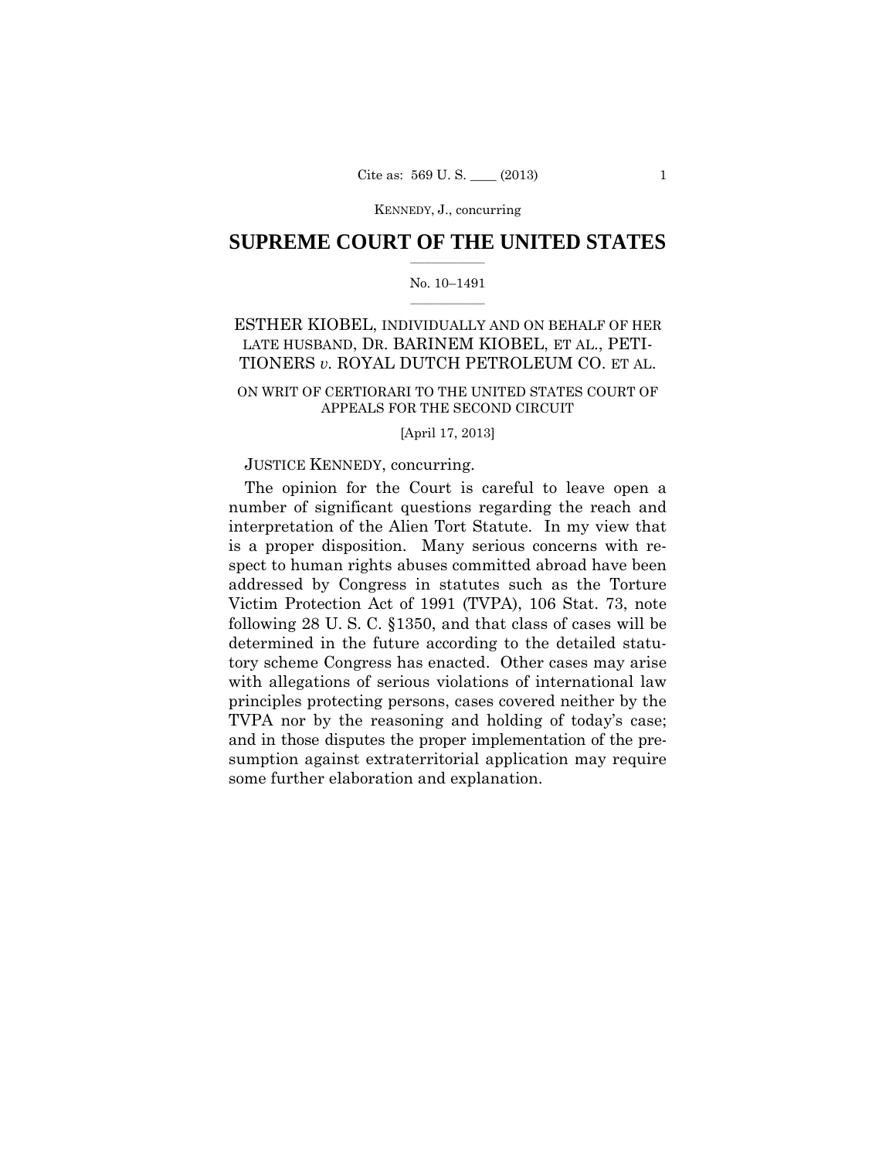# KENNEDY, J., concurring

# $\frac{1}{2}$  ,  $\frac{1}{2}$  ,  $\frac{1}{2}$  ,  $\frac{1}{2}$  ,  $\frac{1}{2}$  ,  $\frac{1}{2}$  ,  $\frac{1}{2}$ **SUPREME COURT OF THE UNITED STATES**

## $\frac{1}{2}$  ,  $\frac{1}{2}$  ,  $\frac{1}{2}$  ,  $\frac{1}{2}$  ,  $\frac{1}{2}$  ,  $\frac{1}{2}$ No. 10–1491

# ESTHER KIOBEL, INDIVIDUALLY AND ON BEHALF OF HER LATE HUSBAND, DR. BARINEM KIOBEL, ET AL., PETI-TIONERS *v.* ROYAL DUTCH PETROLEUM CO. ET AL.

# ON WRIT OF CERTIORARI TO THE UNITED STATES COURT OF APPEALS FOR THE SECOND CIRCUIT

#### [April 17, 2013]

# JUSTICE KENNEDY, concurring.

The opinion for the Court is careful to leave open a number of significant questions regarding the reach and interpretation of the Alien Tort Statute. In my view that is a proper disposition. Many serious concerns with respect to human rights abuses committed abroad have been addressed by Congress in statutes such as the Torture Victim Protection Act of 1991 (TVPA), 106 Stat. 73, note following 28 U. S. C. §1350, and that class of cases will be determined in the future according to the detailed statutory scheme Congress has enacted. Other cases may arise with allegations of serious violations of international law principles protecting persons, cases covered neither by the TVPA nor by the reasoning and holding of today's case; and in those disputes the proper implementation of the presumption against extraterritorial application may require some further elaboration and explanation.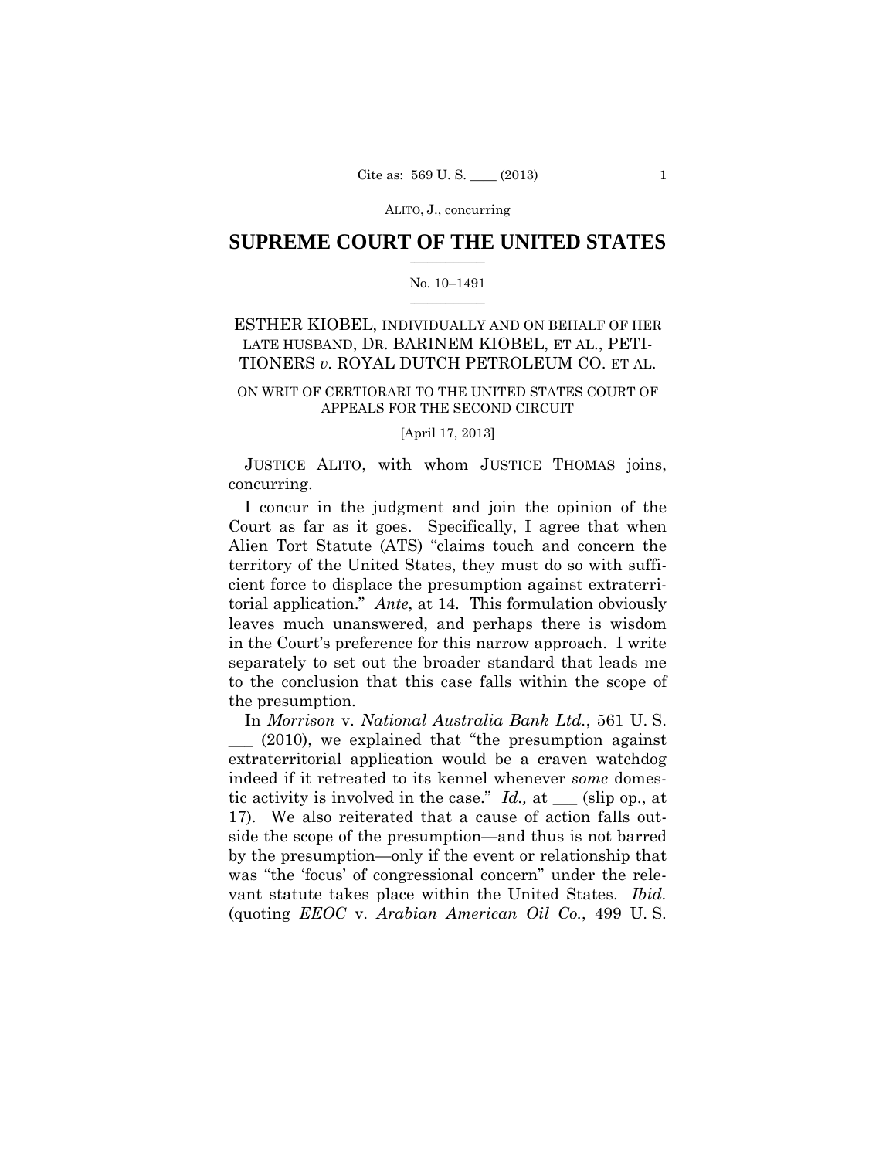### ALITO, J., concurring

# $\frac{1}{2}$  ,  $\frac{1}{2}$  ,  $\frac{1}{2}$  ,  $\frac{1}{2}$  ,  $\frac{1}{2}$  ,  $\frac{1}{2}$  ,  $\frac{1}{2}$ **SUPREME COURT OF THE UNITED STATES**

### $\frac{1}{2}$  ,  $\frac{1}{2}$  ,  $\frac{1}{2}$  ,  $\frac{1}{2}$  ,  $\frac{1}{2}$  ,  $\frac{1}{2}$ No. 10–1491

# ESTHER KIOBEL, INDIVIDUALLY AND ON BEHALF OF HER LATE HUSBAND, DR. BARINEM KIOBEL, ET AL., PETI-TIONERS *v.* ROYAL DUTCH PETROLEUM CO. ET AL.

## ON WRIT OF CERTIORARI TO THE UNITED STATES COURT OF APPEALS FOR THE SECOND CIRCUIT

### [April 17, 2013]

JUSTICE ALITO, with whom JUSTICE THOMAS joins, concurring.

I concur in the judgment and join the opinion of the Court as far as it goes. Specifically, I agree that when Alien Tort Statute (ATS) "claims touch and concern the territory of the United States, they must do so with sufficient force to displace the presumption against extraterritorial application." *Ante*, at 14. This formulation obviously leaves much unanswered, and perhaps there is wisdom in the Court's preference for this narrow approach. I write separately to set out the broader standard that leads me to the conclusion that this case falls within the scope of the presumption.

In *Morrison* v. *National Australia Bank Ltd.*, 561 U. S.  $\Box$  (2010), we explained that "the presumption against extraterritorial application would be a craven watchdog indeed if it retreated to its kennel whenever *some* domestic activity is involved in the case." *Id.*, at (slip op., at 17). We also reiterated that a cause of action falls outside the scope of the presumption—and thus is not barred by the presumption—only if the event or relationship that was "the 'focus' of congressional concern" under the relevant statute takes place within the United States. *Ibid.*  (quoting *EEOC* v. *Arabian American Oil Co.*, 499 U. S.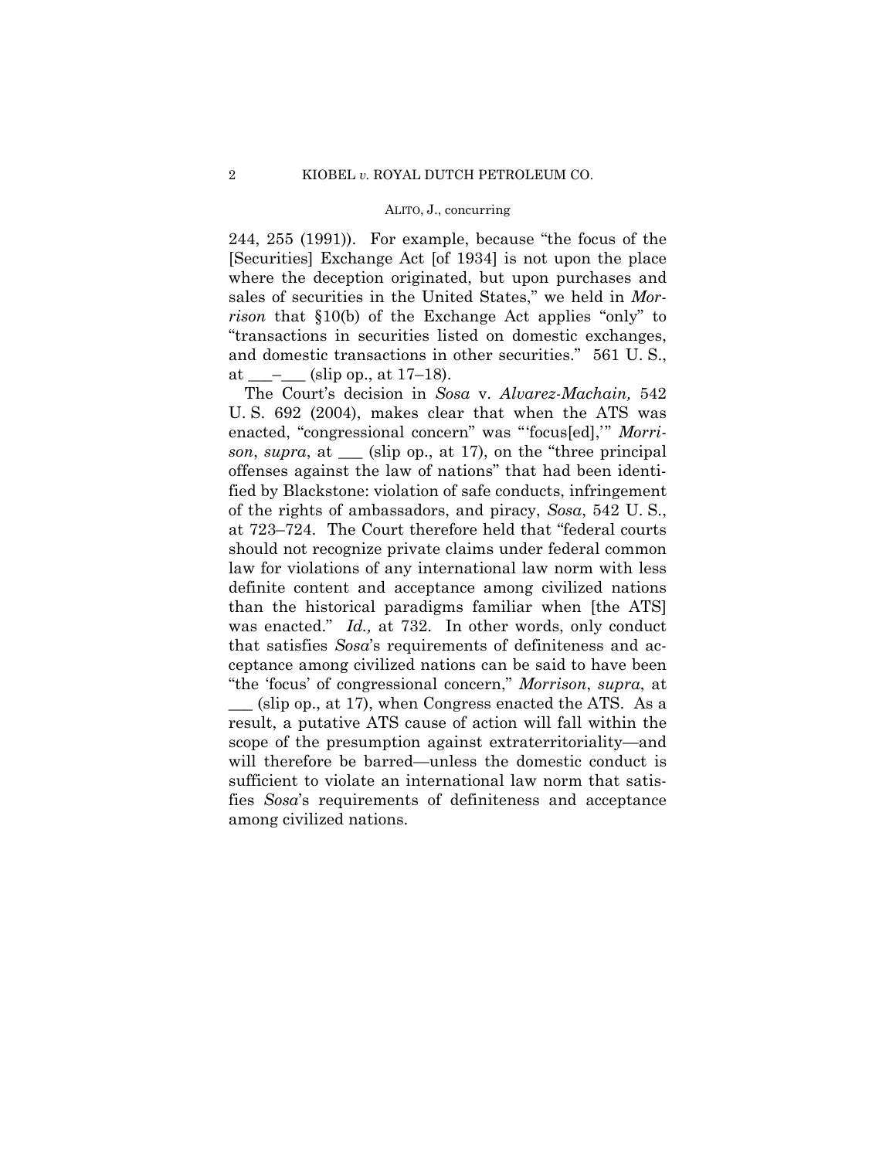#### ALITO, J., concurring

244, 255 (1991)). For example, because "the focus of the [Securities] Exchange Act [of 1934] is not upon the place where the deception originated, but upon purchases and sales of securities in the United States," we held in *Morrison* that §10(b) of the Exchange Act applies "only" to "transactions in securities listed on domestic exchanges, and domestic transactions in other securities." 561 U. S., at  $\_\_\_\_\_\_\_$  (slip op., at 17–18).

The Court's decision in *Sosa* v. *Alvarez-Machain,* 542 U. S. 692 (2004), makes clear that when the ATS was enacted, "congressional concern" was "'focus[ed],'" *Morrison*, *supra*, at \_\_\_ (slip op., at 17), on the "three principal offenses against the law of nations" that had been identified by Blackstone: violation of safe conducts, infringement of the rights of ambassadors, and piracy, *Sosa*, 542 U. S., at 723–724. The Court therefore held that "federal courts should not recognize private claims under federal common law for violations of any international law norm with less definite content and acceptance among civilized nations than the historical paradigms familiar when [the ATS] was enacted." *Id.,* at 732. In other words, only conduct that satisfies *Sosa*'s requirements of definiteness and acceptance among civilized nations can be said to have been "the 'focus' of congressional concern," *Morrison*, *supra*, at (slip op., at 17), when Congress enacted the ATS. As a result, a putative ATS cause of action will fall within the scope of the presumption against extraterritoriality—and will therefore be barred—unless the domestic conduct is sufficient to violate an international law norm that satisfies *Sosa*'s requirements of definiteness and acceptance among civilized nations.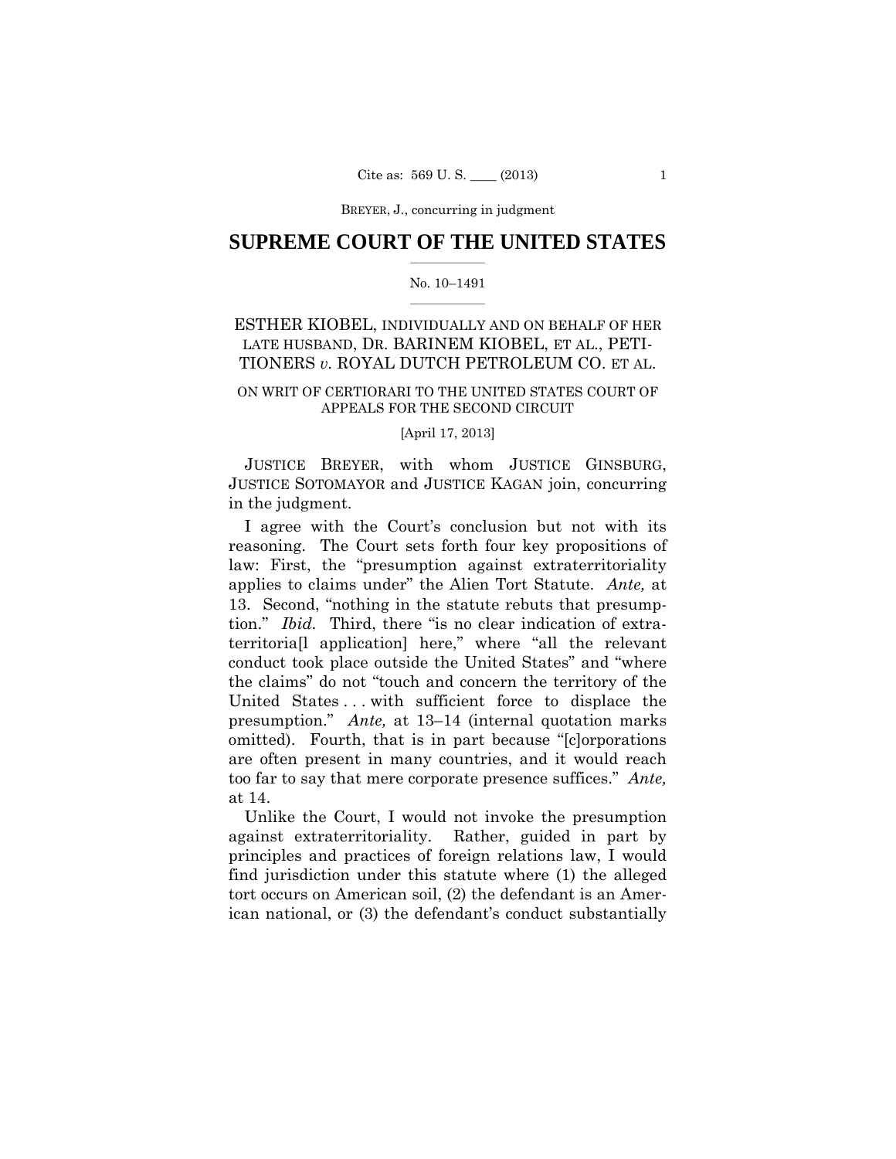# $\frac{1}{2}$  ,  $\frac{1}{2}$  ,  $\frac{1}{2}$  ,  $\frac{1}{2}$  ,  $\frac{1}{2}$  ,  $\frac{1}{2}$  ,  $\frac{1}{2}$ **SUPREME COURT OF THE UNITED STATES**

### $\frac{1}{2}$  ,  $\frac{1}{2}$  ,  $\frac{1}{2}$  ,  $\frac{1}{2}$  ,  $\frac{1}{2}$  ,  $\frac{1}{2}$ No. 10–1491

# ESTHER KIOBEL, INDIVIDUALLY AND ON BEHALF OF HER LATE HUSBAND, DR. BARINEM KIOBEL, ET AL., PETI-TIONERS *v.* ROYAL DUTCH PETROLEUM CO. ET AL.

## ON WRIT OF CERTIORARI TO THE UNITED STATES COURT OF APPEALS FOR THE SECOND CIRCUIT

## [April 17, 2013]

JUSTICE BREYER, with whom JUSTICE GINSBURG, JUSTICE SOTOMAYOR and JUSTICE KAGAN join, concurring in the judgment.

I agree with the Court's conclusion but not with its reasoning. The Court sets forth four key propositions of law: First, the "presumption against extraterritoriality applies to claims under" the Alien Tort Statute. *Ante,* at 13. Second, "nothing in the statute rebuts that presumption." *Ibid.* Third, there "is no clear indication of extraterritoria[l application] here," where "all the relevant conduct took place outside the United States" and "where the claims" do not "touch and concern the territory of the United States . . . with sufficient force to displace the presumption." *Ante,* at 13–14 (internal quotation marks omitted). Fourth, that is in part because "[c]orporations are often present in many countries, and it would reach too far to say that mere corporate presence suffices." *Ante,*  at 14.

Unlike the Court, I would not invoke the presumption against extraterritoriality. Rather, guided in part by principles and practices of foreign relations law, I would find jurisdiction under this statute where (1) the alleged tort occurs on American soil, (2) the defendant is an American national, or (3) the defendant's conduct substantially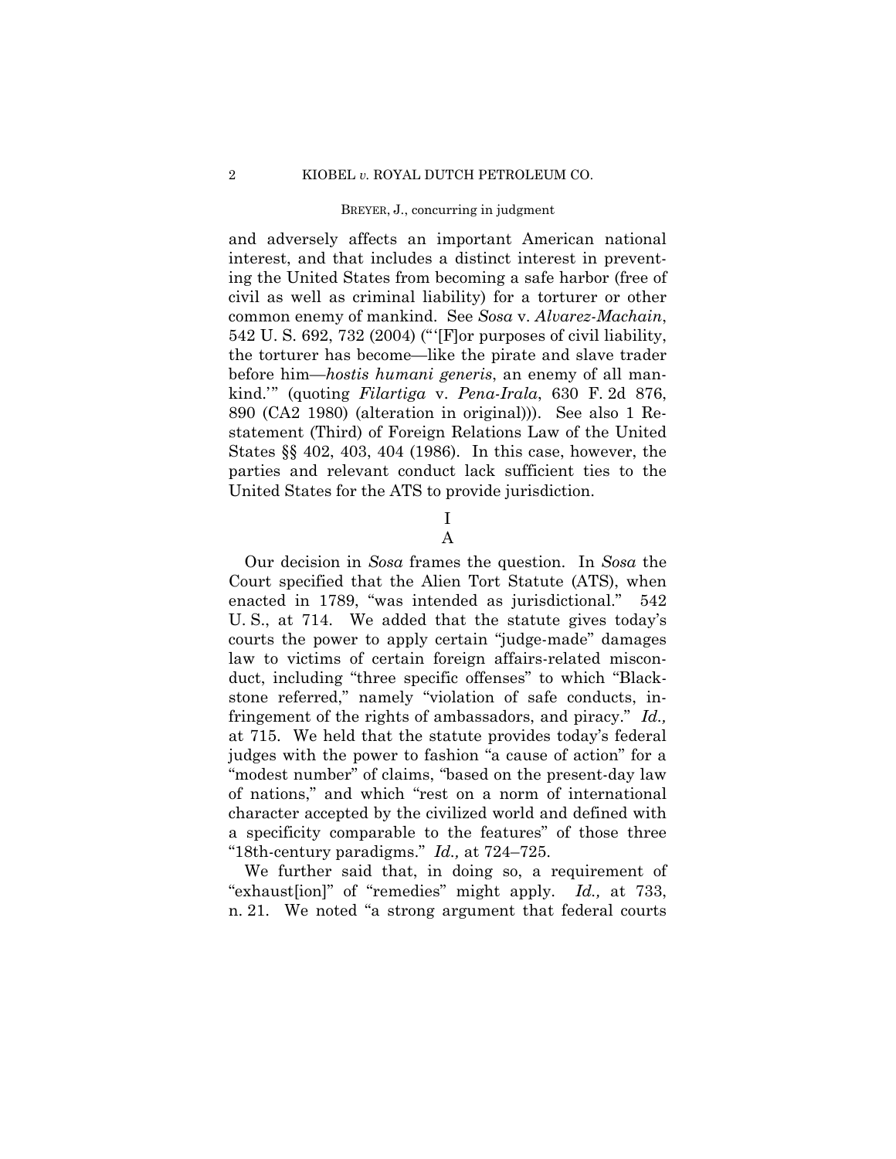and adversely affects an important American national interest, and that includes a distinct interest in preventing the United States from becoming a safe harbor (free of civil as well as criminal liability) for a torturer or other common enemy of mankind. See *Sosa* v. *Alvarez-Machain*, 542 U. S. 692, 732 (2004) ("'[F]or purposes of civil liability, the torturer has become—like the pirate and slave trader before him—*hostis humani generis*, an enemy of all mankind.'" (quoting *Filartiga* v. *Pena-Irala*, 630 F. 2d 876, 890 (CA2 1980) (alteration in original))). See also 1 Restatement (Third) of Foreign Relations Law of the United States §§ 402, 403, 404 (1986). In this case, however, the parties and relevant conduct lack sufficient ties to the United States for the ATS to provide jurisdiction.

> I A

 Our decision in *Sosa* frames the question. In *Sosa* the Court specified that the Alien Tort Statute (ATS), when enacted in 1789, "was intended as jurisdictional." 542 U. S., at 714. We added that the statute gives today's courts the power to apply certain "judge-made" damages law to victims of certain foreign affairs-related misconduct, including "three specific offenses" to which "Blackstone referred," namely "violation of safe conducts, infringement of the rights of ambassadors, and piracy." *Id.,*  at 715. We held that the statute provides today's federal judges with the power to fashion "a cause of action" for a "modest number" of claims, "based on the present-day law of nations," and which "rest on a norm of international character accepted by the civilized world and defined with a specificity comparable to the features" of those three "18th-century paradigms." *Id.,* at 724–725.

 "exhaust[ion]" of "remedies" might apply. *Id.,* at 733, We further said that, in doing so, a requirement of n. 21. We noted "a strong argument that federal courts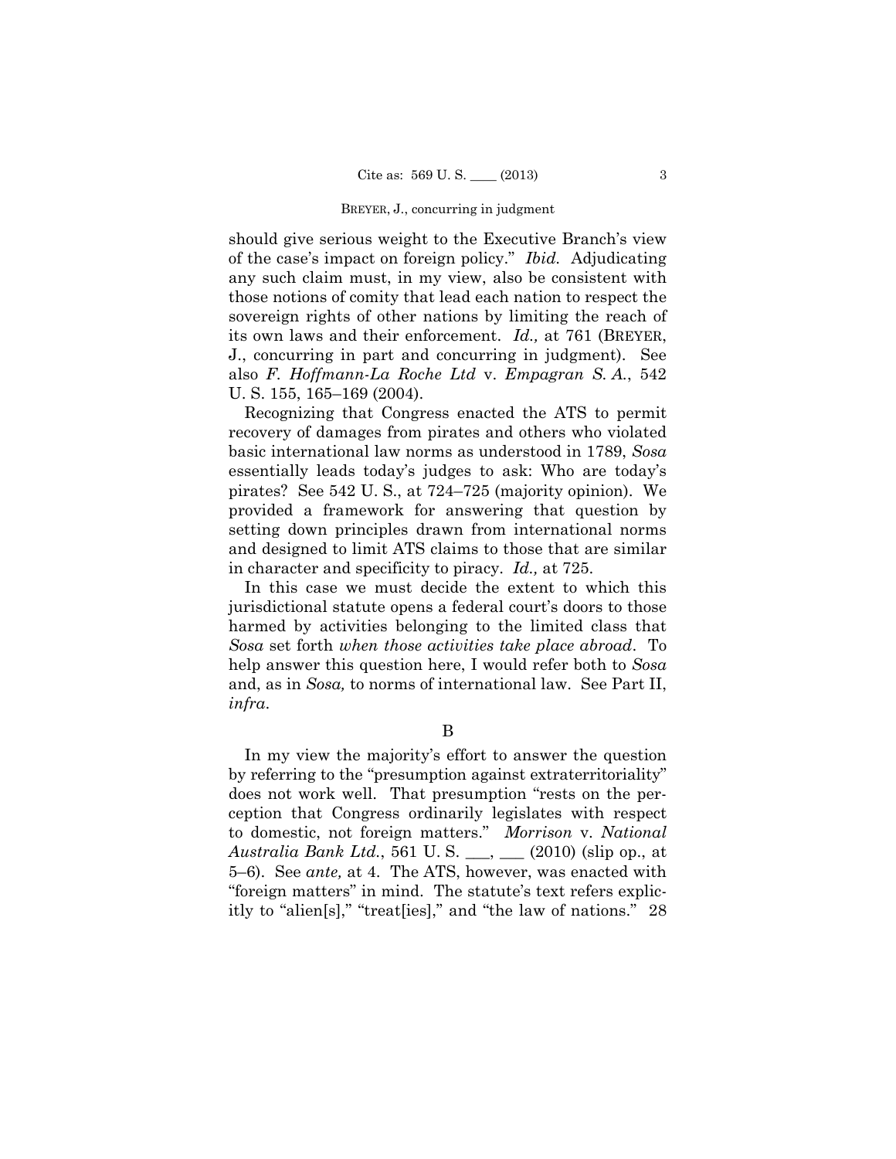should give serious weight to the Executive Branch's view of the case's impact on foreign policy." *Ibid.* Adjudicating any such claim must, in my view, also be consistent with those notions of comity that lead each nation to respect the sovereign rights of other nations by limiting the reach of its own laws and their enforcement. *Id.,* at 761 (BREYER, J., concurring in part and concurring in judgment). See also *F. Hoffmann-La Roche Ltd* v. *Empagran S. A.*, 542 U. S. 155, 165–169 (2004).

 Recognizing that Congress enacted the ATS to permit recovery of damages from pirates and others who violated basic international law norms as understood in 1789, *Sosa*  essentially leads today's judges to ask: Who are today's pirates? See 542 U. S., at 724–725 (majority opinion). We provided a framework for answering that question by setting down principles drawn from international norms and designed to limit ATS claims to those that are similar in character and specificity to piracy. *Id.,* at 725.

In this case we must decide the extent to which this jurisdictional statute opens a federal court's doors to those harmed by activities belonging to the limited class that *Sosa* set forth *when those activities take place abroad*. To help answer this question here, I would refer both to *Sosa*  and, as in *Sosa,* to norms of international law. See Part II, *infra*.

B

In my view the majority's effort to answer the question by referring to the "presumption against extraterritoriality" does not work well. That presumption "rests on the perception that Congress ordinarily legislates with respect to domestic, not foreign matters." *Morrison* v. *National Australia Bank Ltd.*, 561 U. S. \_\_\_, \_\_\_ (2010) (slip op., at 5–6). See *ante,* at 4. The ATS, however, was enacted with "foreign matters" in mind. The statute's text refers explicitly to "alien[s]," "treat[ies]," and "the law of nations." 28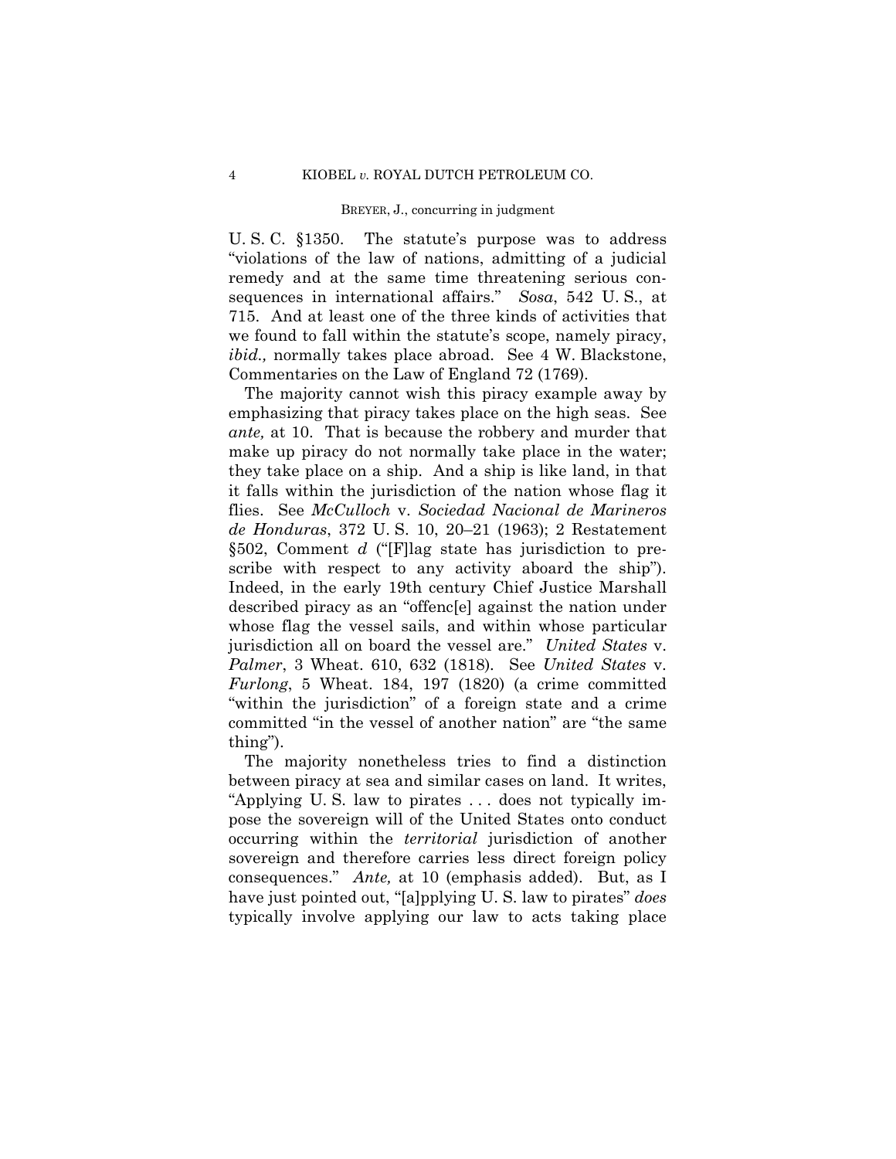U. S. C. §1350. The statute's purpose was to address "violations of the law of nations, admitting of a judicial remedy and at the same time threatening serious consequences in international affairs." *Sosa*, 542 U. S., at 715. And at least one of the three kinds of activities that we found to fall within the statute's scope, namely piracy, *ibid.*, normally takes place abroad. See 4 W. Blackstone, Commentaries on the Law of England 72 (1769).

The majority cannot wish this piracy example away by emphasizing that piracy takes place on the high seas. See *ante,* at 10. That is because the robbery and murder that make up piracy do not normally take place in the water; they take place on a ship. And a ship is like land, in that it falls within the jurisdiction of the nation whose flag it flies. See *McCulloch* v. *Sociedad Nacional de Marineros de Honduras*, 372 U. S. 10, 20–21 (1963); 2 Restatement §502, Comment *d* ("[F]lag state has jurisdiction to prescribe with respect to any activity aboard the ship"). Indeed, in the early 19th century Chief Justice Marshall described piracy as an "offenc[e] against the nation under whose flag the vessel sails, and within whose particular jurisdiction all on board the vessel are." *United States* v. *Palmer*, 3 Wheat. 610, 632 (1818)*.* See *United States* v. *Furlong*, 5 Wheat. 184, 197 (1820) (a crime committed "within the jurisdiction" of a foreign state and a crime committed "in the vessel of another nation" are "the same thing").

The majority nonetheless tries to find a distinction between piracy at sea and similar cases on land. It writes, "Applying U. S. law to pirates . . . does not typically impose the sovereign will of the United States onto conduct occurring within the *territorial* jurisdiction of another sovereign and therefore carries less direct foreign policy consequences." *Ante,* at 10 (emphasis added). But, as I have just pointed out, "[a]pplying U. S. law to pirates" *does*  typically involve applying our law to acts taking place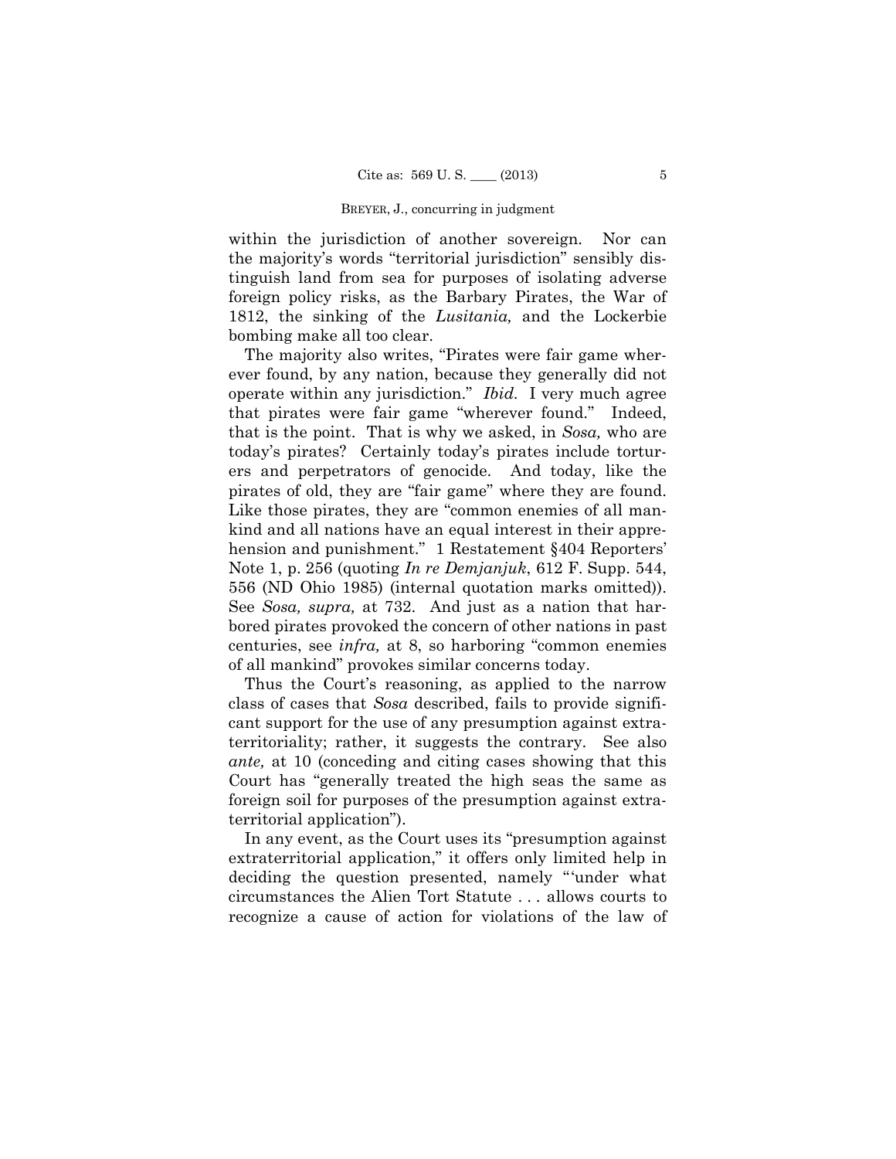within the jurisdiction of another sovereign. Nor can the majority's words "territorial jurisdiction" sensibly distinguish land from sea for purposes of isolating adverse foreign policy risks, as the Barbary Pirates, the War of 1812, the sinking of the *Lusitania,* and the Lockerbie bombing make all too clear.

The majority also writes, "Pirates were fair game wherever found, by any nation, because they generally did not operate within any jurisdiction." *Ibid.* I very much agree that pirates were fair game "wherever found." Indeed, that is the point. That is why we asked, in *Sosa,* who are today's pirates? Certainly today's pirates include torturers and perpetrators of genocide. And today, like the pirates of old, they are "fair game" where they are found. Like those pirates, they are "common enemies of all mankind and all nations have an equal interest in their apprehension and punishment." 1 Restatement §404 Reporters' Note 1, p. 256 (quoting *In re Demjanjuk*, 612 F. Supp. 544, 556 (ND Ohio 1985) (internal quotation marks omitted)). See *Sosa, supra,* at 732. And just as a nation that harbored pirates provoked the concern of other nations in past centuries, see *infra,* at 8, so harboring "common enemies of all mankind" provokes similar concerns today.

Thus the Court's reasoning, as applied to the narrow class of cases that *Sosa* described, fails to provide significant support for the use of any presumption against extraterritoriality; rather, it suggests the contrary. See also *ante,* at 10 (conceding and citing cases showing that this Court has "generally treated the high seas the same as foreign soil for purposes of the presumption against extraterritorial application").

In any event, as the Court uses its "presumption against extraterritorial application," it offers only limited help in deciding the question presented, namely "'under what circumstances the Alien Tort Statute . . . allows courts to recognize a cause of action for violations of the law of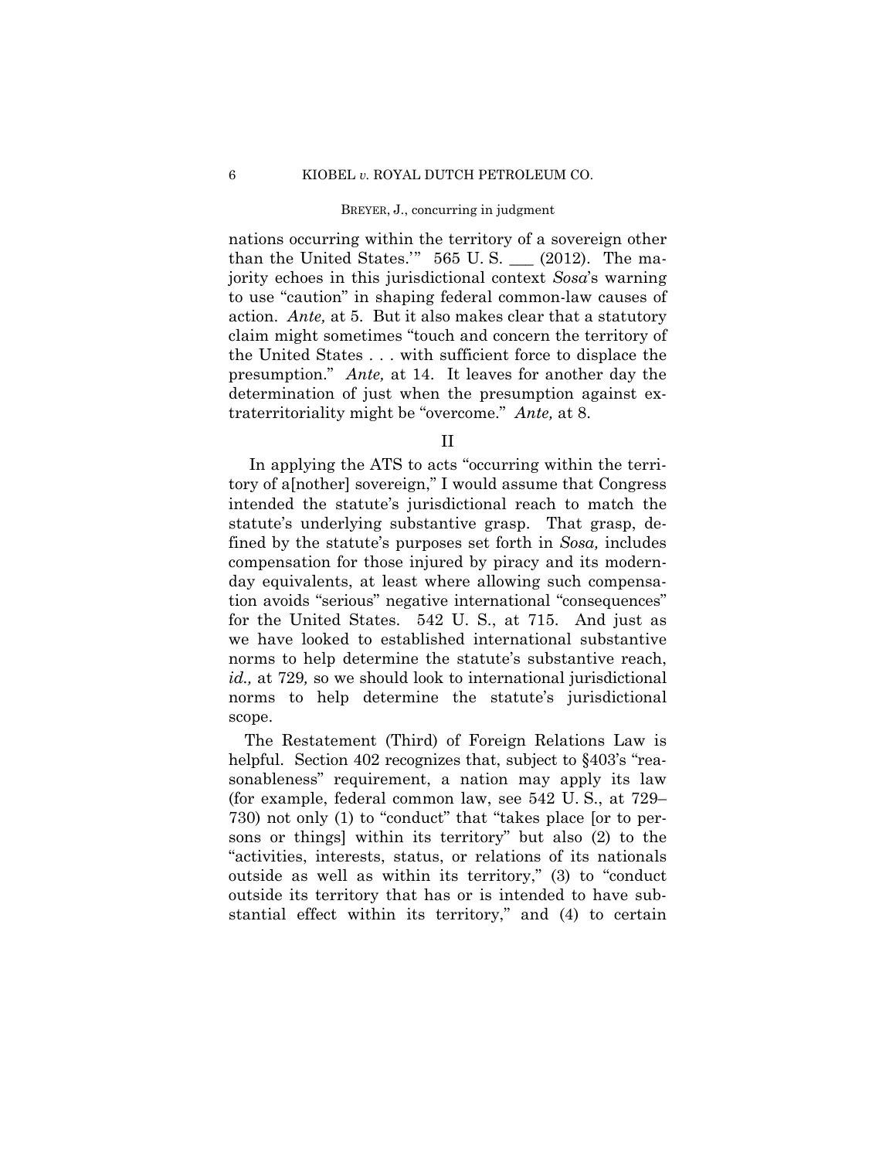presumption." *Ante,* at 14. It leaves for another day the nations occurring within the territory of a sovereign other than the United States.'"  $565$  U.S.  $\_\_$  (2012). The majority echoes in this jurisdictional context *Sosa*'s warning to use "caution" in shaping federal common-law causes of action. *Ante,* at 5. But it also makes clear that a statutory claim might sometimes "touch and concern the territory of the United States . . . with sufficient force to displace the determination of just when the presumption against extraterritoriality might be "overcome." *Ante,* at 8.

II

In applying the ATS to acts "occurring within the territory of a[nother] sovereign," I would assume that Congress intended the statute's jurisdictional reach to match the statute's underlying substantive grasp. That grasp, defined by the statute's purposes set forth in *Sosa,* includes compensation for those injured by piracy and its modernday equivalents, at least where allowing such compensation avoids "serious" negative international "consequences" for the United States. 542 U. S., at 715. And just as we have looked to established international substantive norms to help determine the statute's substantive reach, *id.,* at 729*,* so we should look to international jurisdictional norms to help determine the statute's jurisdictional scope.

The Restatement (Third) of Foreign Relations Law is helpful. Section 402 recognizes that, subject to §403's "reasonableness" requirement, a nation may apply its law (for example, federal common law, see 542 U. S., at 729– 730) not only (1) to "conduct" that "takes place [or to persons or things] within its territory" but also (2) to the "activities, interests, status, or relations of its nationals outside as well as within its territory," (3) to "conduct outside its territory that has or is intended to have substantial effect within its territory," and (4) to certain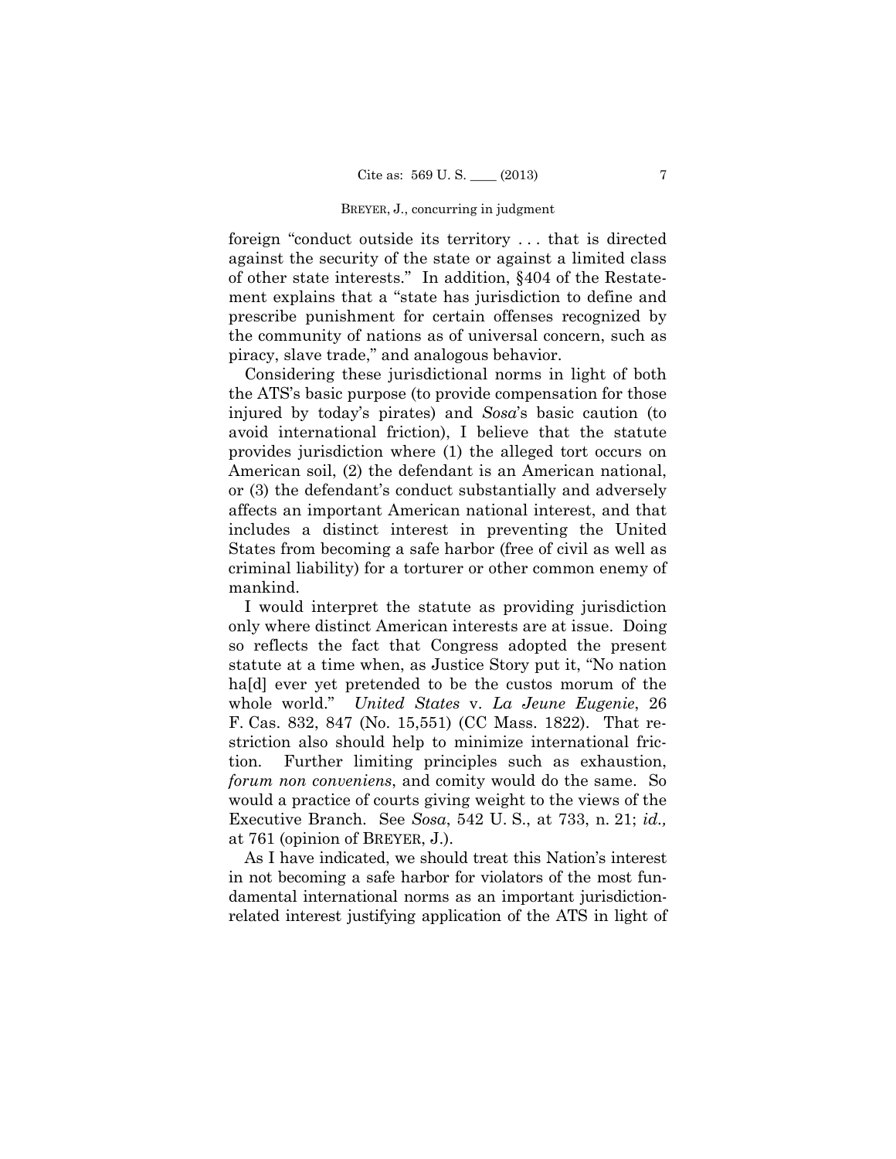foreign "conduct outside its territory . . . that is directed against the security of the state or against a limited class of other state interests." In addition, §404 of the Restatement explains that a "state has jurisdiction to define and prescribe punishment for certain offenses recognized by the community of nations as of universal concern, such as piracy, slave trade," and analogous behavior.

Considering these jurisdictional norms in light of both the ATS's basic purpose (to provide compensation for those injured by today's pirates) and *Sosa*'s basic caution (to avoid international friction), I believe that the statute provides jurisdiction where (1) the alleged tort occurs on American soil, (2) the defendant is an American national, or (3) the defendant's conduct substantially and adversely affects an important American national interest, and that includes a distinct interest in preventing the United States from becoming a safe harbor (free of civil as well as criminal liability) for a torturer or other common enemy of mankind.

I would interpret the statute as providing jurisdiction only where distinct American interests are at issue. Doing so reflects the fact that Congress adopted the present statute at a time when, as Justice Story put it, "No nation ha[d] ever yet pretended to be the custos morum of the whole world." *United States* v. *La Jeune Eugenie*, 26 F. Cas. 832, 847 (No. 15,551) (CC Mass. 1822). That restriction also should help to minimize international friction. Further limiting principles such as exhaustion, *forum non conveniens*, and comity would do the same. So would a practice of courts giving weight to the views of the Executive Branch. See *Sosa*, 542 U. S., at 733, n. 21; *id.,*  at 761 (opinion of BREYER, J.).

As I have indicated, we should treat this Nation's interest in not becoming a safe harbor for violators of the most fundamental international norms as an important jurisdictionrelated interest justifying application of the ATS in light of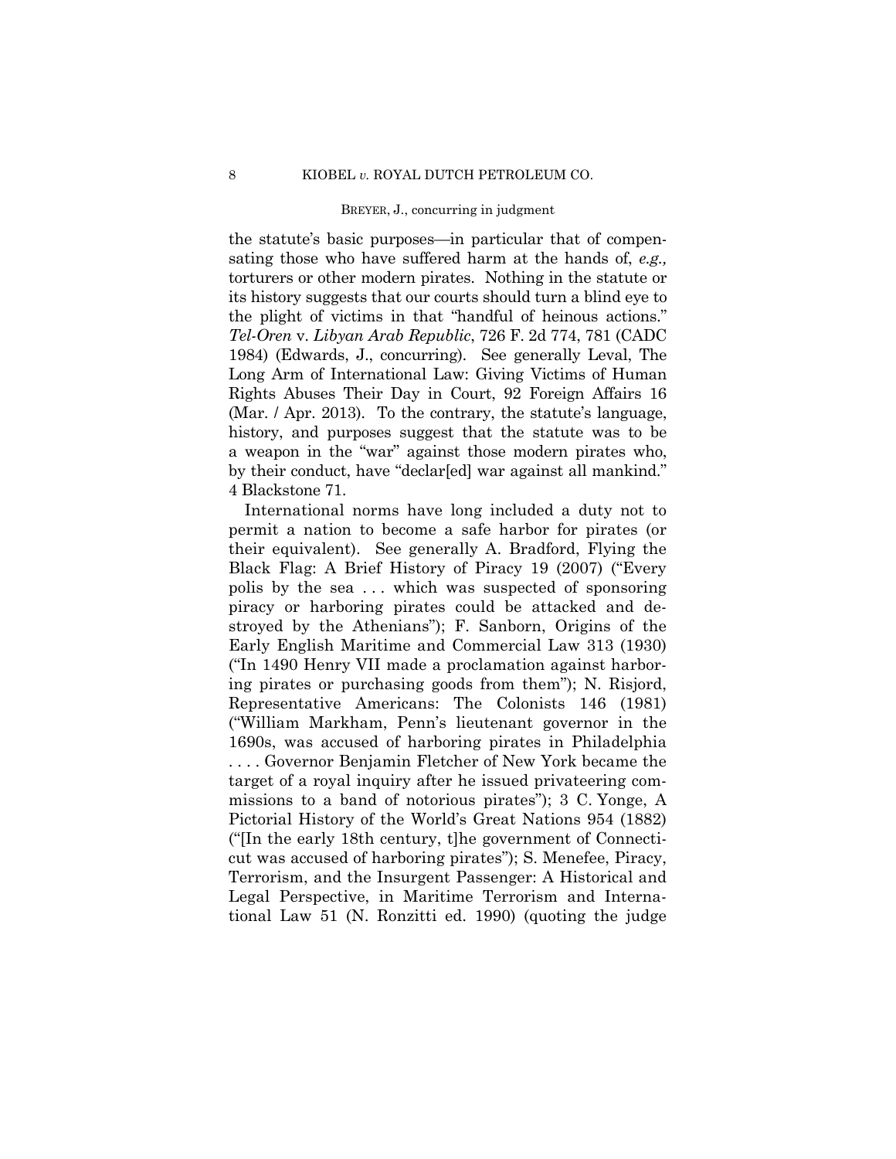history, and purposes suggest that the statute was to be the statute's basic purposes—in particular that of compensating those who have suffered harm at the hands of, *e.g.,*  torturers or other modern pirates. Nothing in the statute or its history suggests that our courts should turn a blind eye to the plight of victims in that "handful of heinous actions." *Tel-Oren* v. *Libyan Arab Republic*, 726 F. 2d 774, 781 (CADC 1984) (Edwards, J., concurring). See generally Leval, The Long Arm of International Law: Giving Victims of Human Rights Abuses Their Day in Court, 92 Foreign Affairs 16 (Mar. / Apr. 2013). To the contrary, the statute's language, a weapon in the "war" against those modern pirates who, by their conduct, have "declar[ed] war against all mankind." 4 Blackstone 71.

International norms have long included a duty not to permit a nation to become a safe harbor for pirates (or their equivalent). See generally A. Bradford, Flying the Black Flag: A Brief History of Piracy 19 (2007) ("Every polis by the sea . . . which was suspected of sponsoring piracy or harboring pirates could be attacked and destroyed by the Athenians"); F. Sanborn, Origins of the Early English Maritime and Commercial Law 313 (1930) ("In 1490 Henry VII made a proclamation against harboring pirates or purchasing goods from them"); N. Risjord, Representative Americans: The Colonists 146 (1981) ("William Markham, Penn's lieutenant governor in the 1690s, was accused of harboring pirates in Philadelphia . . . . Governor Benjamin Fletcher of New York became the target of a royal inquiry after he issued privateering commissions to a band of notorious pirates"); 3 C. Yonge, A Pictorial History of the World's Great Nations 954 (1882) ("[In the early 18th century, t]he government of Connecticut was accused of harboring pirates"); S. Menefee, Piracy, Terrorism, and the Insurgent Passenger: A Historical and Legal Perspective, in Maritime Terrorism and International Law 51 (N. Ronzitti ed. 1990) (quoting the judge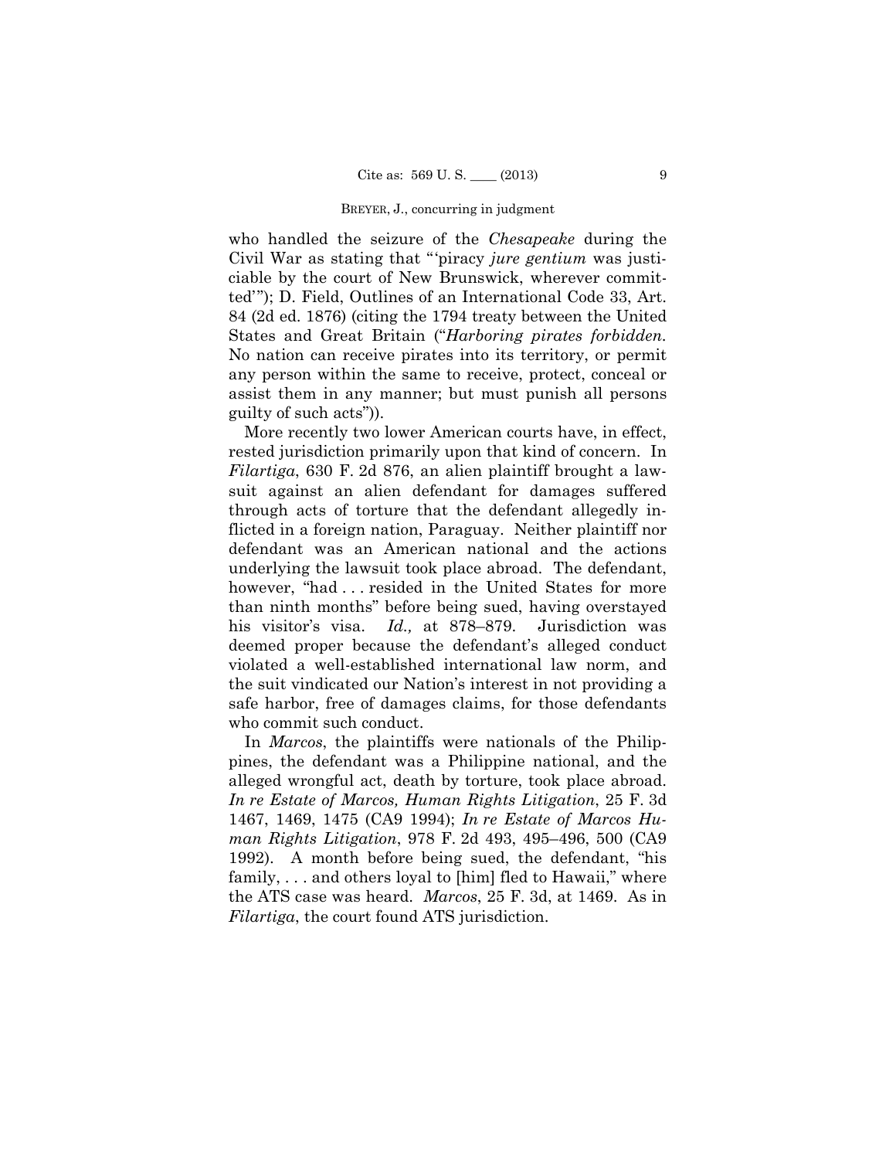who handled the seizure of the *Chesapeake* during the Civil War as stating that " 'piracy *jure gentium* was justiciable by the court of New Brunswick, wherever committed'"); D. Field, Outlines of an International Code 33, Art. 84 (2d ed. 1876) (citing the 1794 treaty between the United States and Great Britain ("*Harboring pirates forbidden.* No nation can receive pirates into its territory, or permit any person within the same to receive, protect, conceal or assist them in any manner; but must punish all persons guilty of such acts")).

 the suit vindicated our Nation's interest in not providing a More recently two lower American courts have, in effect, rested jurisdiction primarily upon that kind of concern. In *Filartiga*, 630 F. 2d 876, an alien plaintiff brought a lawsuit against an alien defendant for damages suffered through acts of torture that the defendant allegedly inflicted in a foreign nation, Paraguay. Neither plaintiff nor defendant was an American national and the actions underlying the lawsuit took place abroad. The defendant, however, "had . . . resided in the United States for more than ninth months" before being sued, having overstayed his visitor's visa. *Id.,* at 878–879. Jurisdiction was deemed proper because the defendant's alleged conduct violated a well-established international law norm, and safe harbor, free of damages claims, for those defendants who commit such conduct.

 In *Marcos*, the plaintiffs were nationals of the Philippines, the defendant was a Philippine national, and the alleged wrongful act, death by torture, took place abroad. *In re Estate of Marcos, Human Rights Litigation*, 25 F. 3d 1467, 1469, 1475 (CA9 1994); *In re Estate of Marcos Human Rights Litigation*, 978 F. 2d 493, 495–496, 500 (CA9 1992). A month before being sued, the defendant, "his family, . . . and others loyal to [him] fled to Hawaii," where the ATS case was heard. *Marcos*, 25 F. 3d, at 1469. As in *Filartiga*, the court found ATS jurisdiction.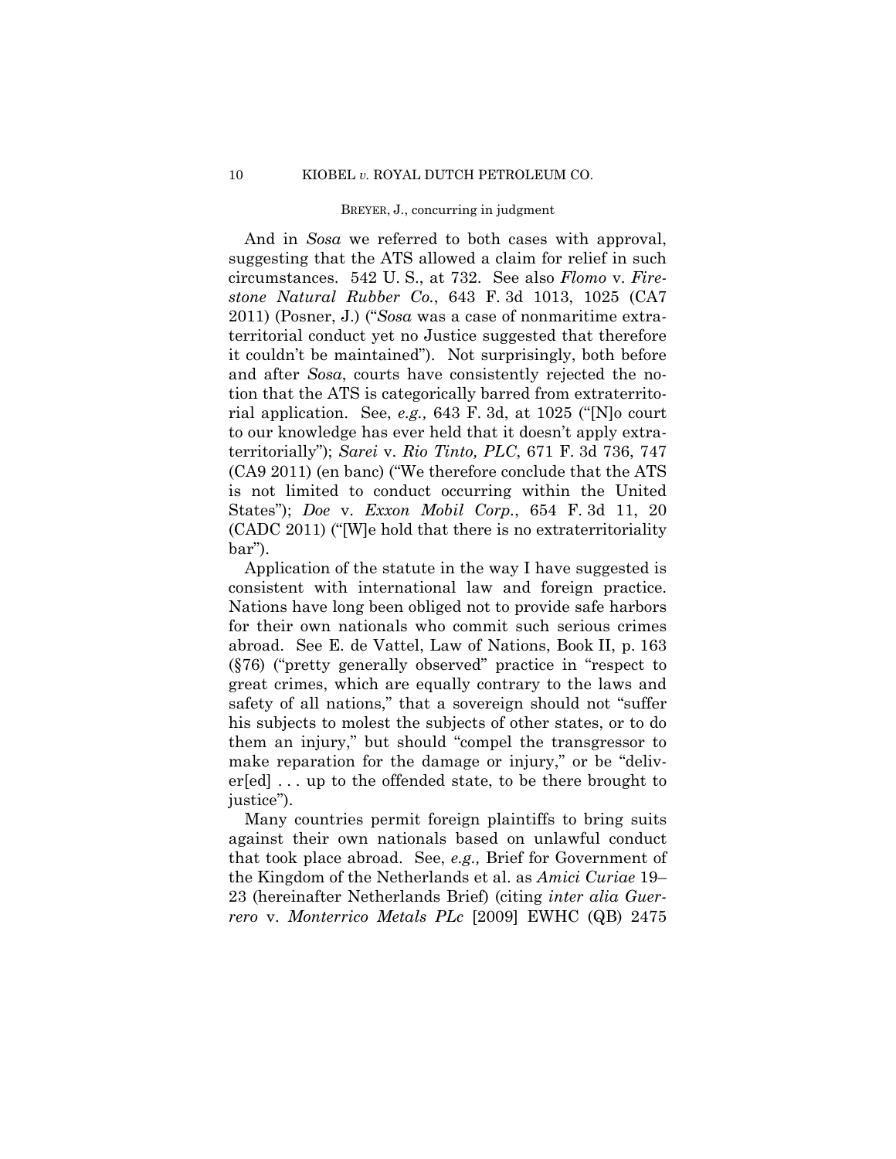And in *Sosa* we referred to both cases with approval, suggesting that the ATS allowed a claim for relief in such circumstances. 542 U. S., at 732. See also *Flomo* v. *Firestone Natural Rubber Co.*, 643 F. 3d 1013, 1025 (CA7 2011) (Posner, J.) ("*Sosa* was a case of nonmaritime extraterritorial conduct yet no Justice suggested that therefore it couldn't be maintained"). Not surprisingly, both before and after *Sosa*, courts have consistently rejected the notion that the ATS is categorically barred from extraterritorial application. See, *e.g.,* 643 F. 3d, at 1025 ("[N]o court to our knowledge has ever held that it doesn't apply extraterritorially"); *Sarei* v. *Rio Tinto, PLC*, 671 F. 3d 736, 747 (CA9 2011) (en banc) ("We therefore conclude that the ATS is not limited to conduct occurring within the United States"); *Doe* v. *Exxon Mobil Corp.*, 654 F. 3d 11, 20 (CADC 2011) ("[W]e hold that there is no extraterritoriality bar").

Application of the statute in the way I have suggested is consistent with international law and foreign practice. Nations have long been obliged not to provide safe harbors for their own nationals who commit such serious crimes abroad. See E. de Vattel, Law of Nations, Book II, p. 163 (§76) ("pretty generally observed" practice in "respect to great crimes, which are equally contrary to the laws and safety of all nations," that a sovereign should not "suffer his subjects to molest the subjects of other states, or to do them an injury," but should "compel the transgressor to make reparation for the damage or injury," or be "deliver[ed] . . . up to the offended state, to be there brought to justice").

Many countries permit foreign plaintiffs to bring suits against their own nationals based on unlawful conduct that took place abroad. See, *e.g.,* Brief for Government of the Kingdom of the Netherlands et al. as *Amici Curiae* 19– 23 (hereinafter Netherlands Brief) (citing *inter alia Guerrero* v. *Monterrico Metals PLc* [2009] EWHC (QB) 2475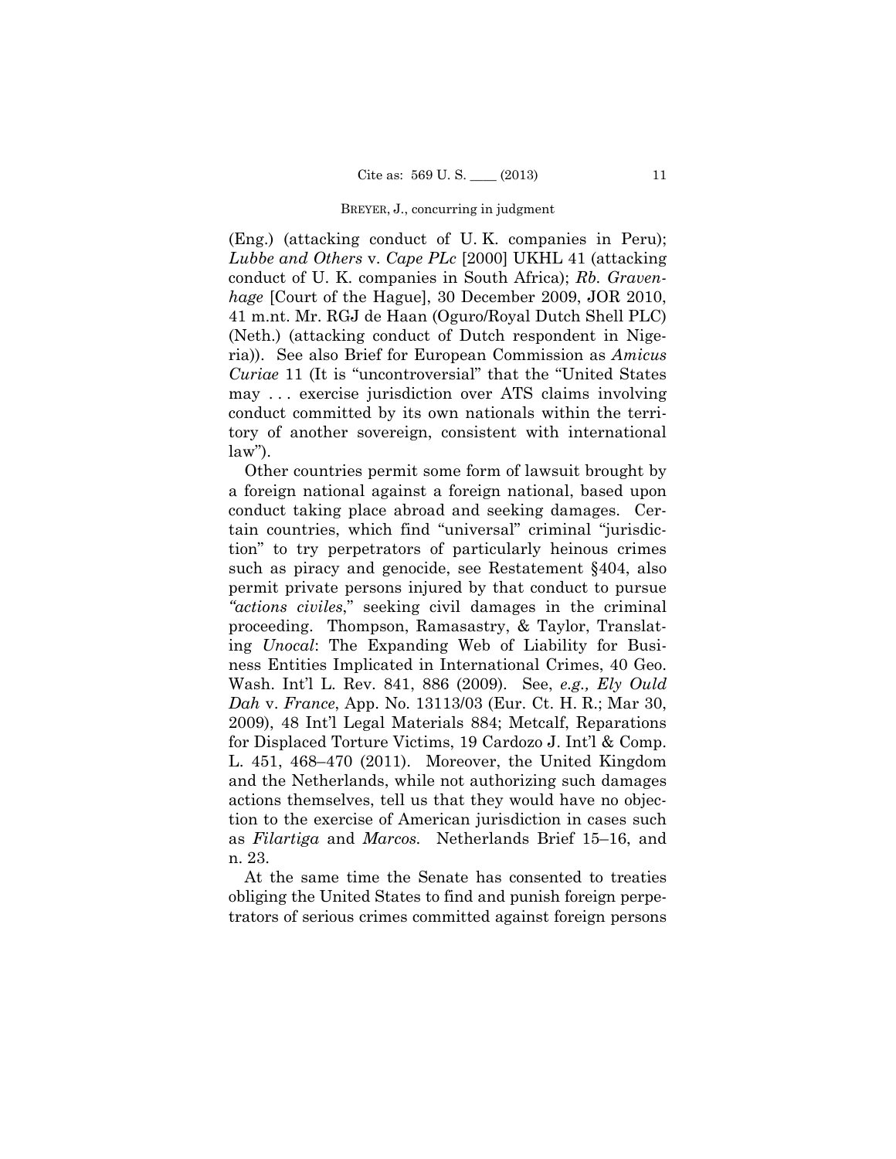(Eng.) (attacking conduct of U. K. companies in Peru); *Lubbe and Others* v. *Cape PLc* [2000] UKHL 41 (attacking conduct of U. K. companies in South Africa); *Rb. Gravenhage* [Court of the Hague], 30 December 2009, JOR 2010, 41 m.nt. Mr. RGJ de Haan (Oguro/Royal Dutch Shell PLC) (Neth.) (attacking conduct of Dutch respondent in Nigeria)). See also Brief for European Commission as *Amicus Curiae* 11 (It is "uncontroversial" that the "United States may . . . exercise jurisdiction over ATS claims involving conduct committed by its own nationals within the territory of another sovereign, consistent with international law").

 Other countries permit some form of lawsuit brought by a foreign national against a foreign national, based upon conduct taking place abroad and seeking damages. Certain countries, which find "universal" criminal "jurisdiction" to try perpetrators of particularly heinous crimes such as piracy and genocide, see Restatement §404, also permit private persons injured by that conduct to pursue *"actions civiles*," seeking civil damages in the criminal proceeding. Thompson, Ramasastry, & Taylor, Translating *Unocal*: The Expanding Web of Liability for Business Entities Implicated in International Crimes, 40 Geo. Wash. Int'l L. Rev. 841, 886 (2009). See, *e.g., Ely Ould Dah* v. *France*, App. No. 13113/03 (Eur. Ct. H. R.; Mar 30, 2009), 48 Int'l Legal Materials 884; Metcalf, Reparations for Displaced Torture Victims, 19 Cardozo J. Int'l & Comp. L. 451, 468–470 (2011). Moreover, the United Kingdom and the Netherlands, while not authorizing such damages actions themselves, tell us that they would have no objection to the exercise of American jurisdiction in cases such as *Filartiga* and *Marcos.* Netherlands Brief 15–16, and n. 23.

 At the same time the Senate has consented to treaties obliging the United States to find and punish foreign perpetrators of serious crimes committed against foreign persons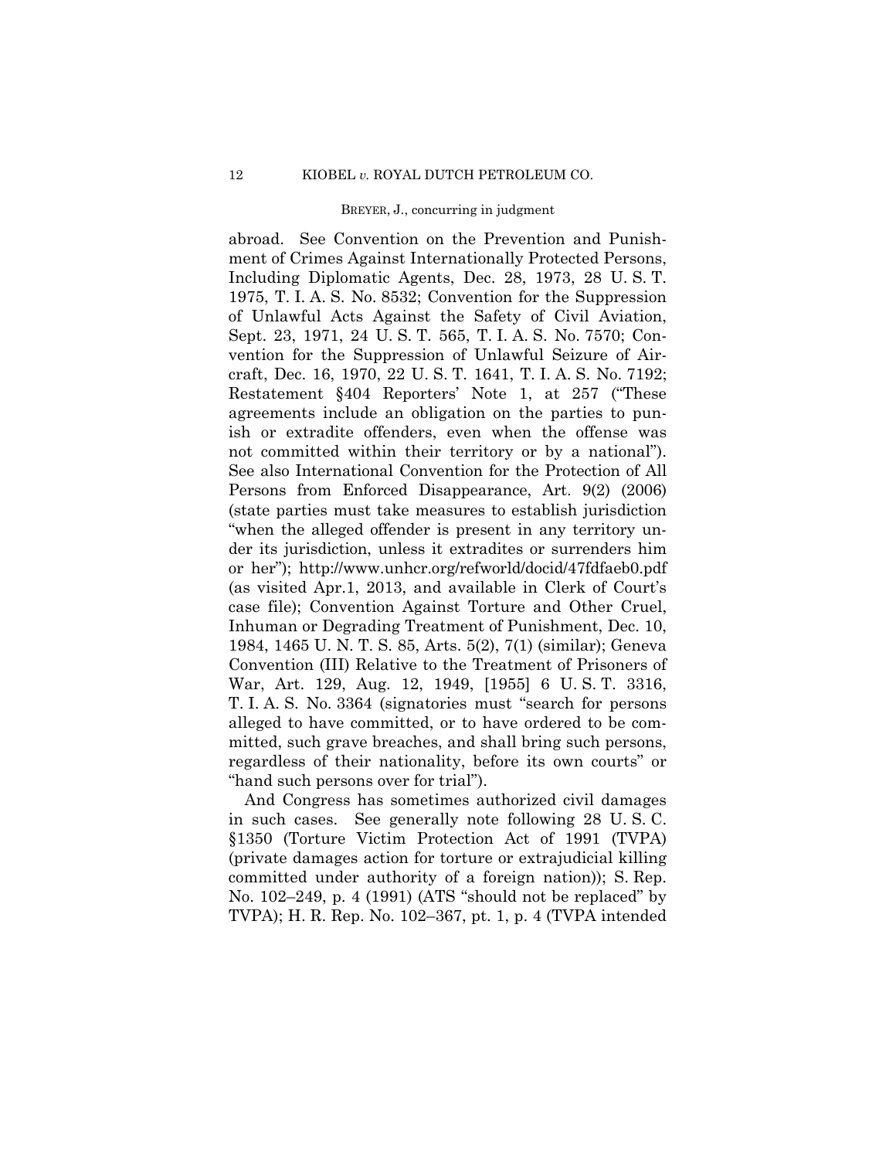abroad. See Convention on the Prevention and Punishment of Crimes Against Internationally Protected Persons, Including Diplomatic Agents, Dec. 28, 1973, 28 U. S. T. 1975, T. I. A. S. No. 8532; Convention for the Suppression of Unlawful Acts Against the Safety of Civil Aviation, Sept. 23, 1971, 24 U. S. T. 565, T. I. A. S. No. 7570; Convention for the Suppression of Unlawful Seizure of Aircraft, Dec. 16, 1970, 22 U. S. T. 1641, T. I. A. S. No. 7192; Restatement §404 Reporters' Note 1, at 257 ("These agreements include an obligation on the parties to punish or extradite offenders, even when the offense was not committed within their territory or by a national"). See also International Convention for the Protection of All Persons from Enforced Disappearance, Art. 9(2) (2006) (state parties must take measures to establish jurisdiction "when the alleged offender is present in any territory under its jurisdiction, unless it extradites or surrenders him or her"); http://www.unhcr.org/refworld/docid/47fdfaeb0.pdf (as visited Apr.1, 2013, and available in Clerk of Court's case file); Convention Against Torture and Other Cruel, Inhuman or Degrading Treatment of Punishment, Dec. 10, 1984, 1465 U. N. T. S. 85, Arts. 5(2), 7(1) (similar); Geneva Convention (III) Relative to the Treatment of Prisoners of War, Art. 129, Aug. 12, 1949, [1955] 6 U. S. T. 3316, T. I. A. S. No. 3364 (signatories must "search for persons alleged to have committed, or to have ordered to be committed, such grave breaches, and shall bring such persons, regardless of their nationality, before its own courts" or "hand such persons over for trial").

And Congress has sometimes authorized civil damages in such cases. See generally note following 28 U. S. C. §1350 (Torture Victim Protection Act of 1991 (TVPA) (private damages action for torture or extrajudicial killing committed under authority of a foreign nation)); S. Rep. No. 102–249, p. 4 (1991) (ATS "should not be replaced" by TVPA); H. R. Rep. No. 102–367, pt. 1, p. 4 (TVPA intended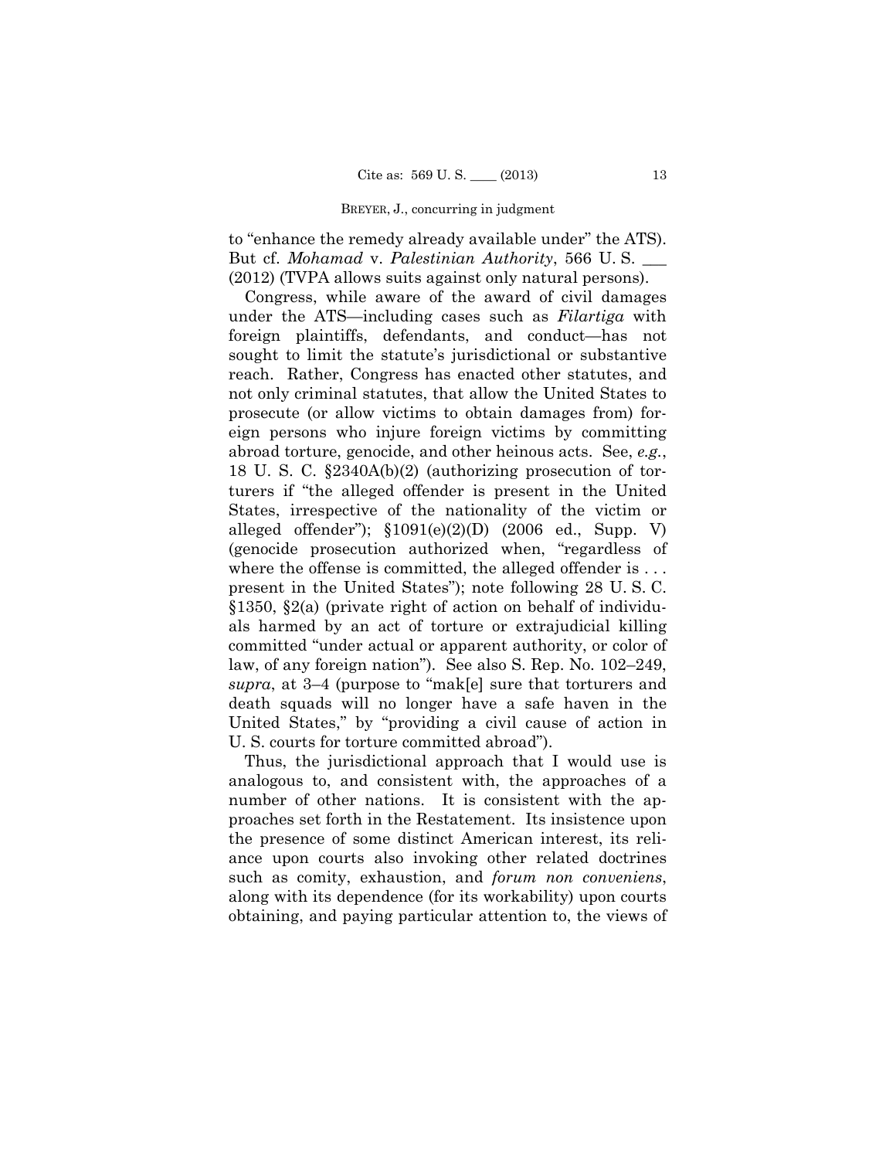to "enhance the remedy already available under" the ATS). But cf. *Mohamad v. Palestinian Authority*, 566 U.S. (2012) (TVPA allows suits against only natural persons).

Congress, while aware of the award of civil damages under the ATS—including cases such as *Filartiga* with foreign plaintiffs, defendants, and conduct—has not sought to limit the statute's jurisdictional or substantive reach. Rather, Congress has enacted other statutes, and not only criminal statutes, that allow the United States to prosecute (or allow victims to obtain damages from) foreign persons who injure foreign victims by committing abroad torture, genocide, and other heinous acts. See, *e.g.*, 18 U. S. C. §2340A(b)(2) (authorizing prosecution of torturers if "the alleged offender is present in the United States, irrespective of the nationality of the victim or alleged offender"); §1091(e)(2)(D) (2006 ed., Supp. V) (genocide prosecution authorized when, "regardless of where the offense is committed, the alleged offender is ... present in the United States"); note following 28 U. S. C. §1350, §2(a) (private right of action on behalf of individuals harmed by an act of torture or extrajudicial killing committed "under actual or apparent authority, or color of law, of any foreign nation"). See also S. Rep. No. 102–249, *supra*, at 3–4 (purpose to "mak[e] sure that torturers and death squads will no longer have a safe haven in the United States," by "providing a civil cause of action in U. S. courts for torture committed abroad").

Thus, the jurisdictional approach that I would use is analogous to, and consistent with, the approaches of a number of other nations. It is consistent with the approaches set forth in the Restatement. Its insistence upon the presence of some distinct American interest, its reliance upon courts also invoking other related doctrines such as comity, exhaustion, and *forum non conveniens*, along with its dependence (for its workability) upon courts obtaining, and paying particular attention to, the views of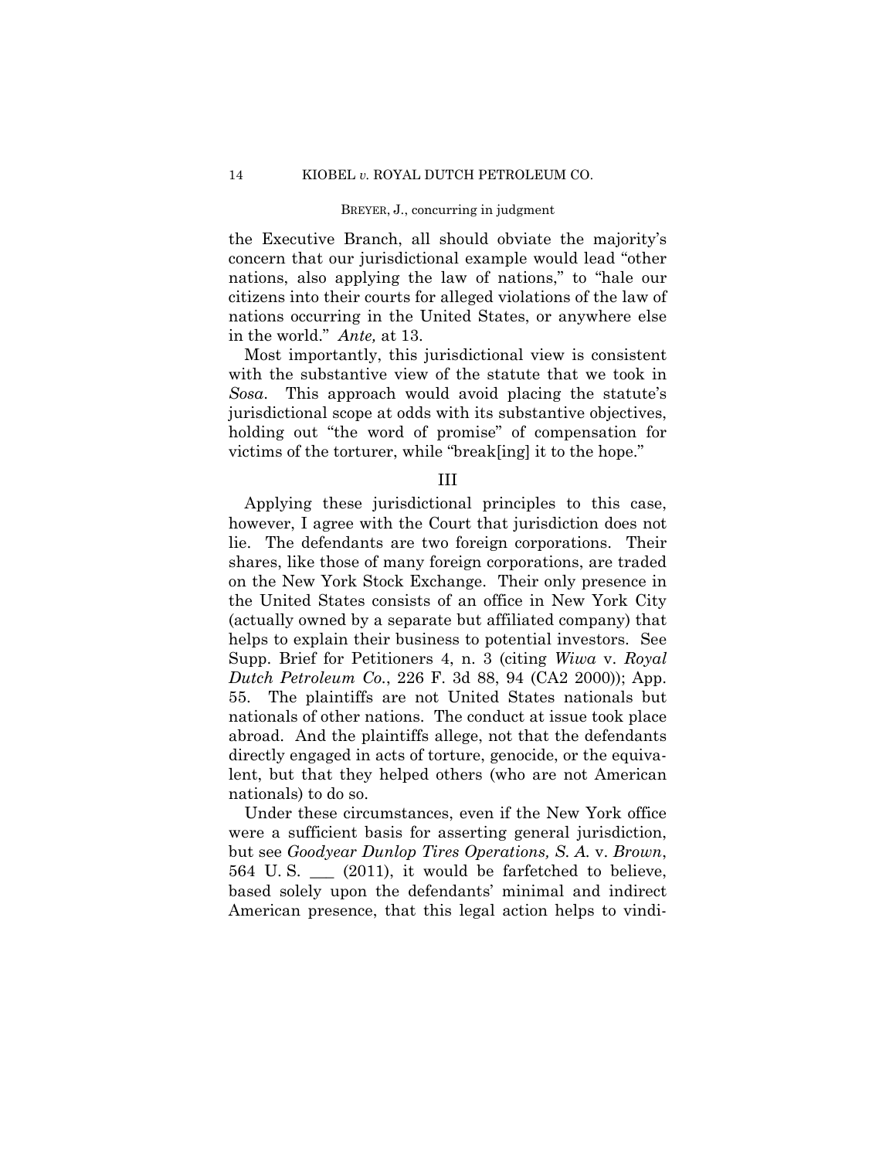the Executive Branch, all should obviate the majority's concern that our jurisdictional example would lead "other nations, also applying the law of nations," to "hale our citizens into their courts for alleged violations of the law of nations occurring in the United States, or anywhere else in the world." *Ante,* at 13.

Most importantly, this jurisdictional view is consistent with the substantive view of the statute that we took in *Sosa*. This approach would avoid placing the statute's jurisdictional scope at odds with its substantive objectives, holding out "the word of promise" of compensation for victims of the torturer, while "break[ing] it to the hope."

III

Applying these jurisdictional principles to this case, however, I agree with the Court that jurisdiction does not lie. The defendants are two foreign corporations. Their shares, like those of many foreign corporations, are traded on the New York Stock Exchange. Their only presence in the United States consists of an office in New York City (actually owned by a separate but affiliated company) that helps to explain their business to potential investors. See Supp. Brief for Petitioners 4, n. 3 (citing *Wiwa* v. *Royal Dutch Petroleum Co.*, 226 F. 3d 88, 94 (CA2 2000)); App. 55. The plaintiffs are not United States nationals but nationals of other nations. The conduct at issue took place abroad. And the plaintiffs allege, not that the defendants directly engaged in acts of torture, genocide, or the equivalent, but that they helped others (who are not American nationals) to do so.

Under these circumstances, even if the New York office were a sufficient basis for asserting general jurisdiction, but see *Goodyear Dunlop Tires Operations, S. A.* v. *Brown*, 564 U. S. \_\_\_ (2011), it would be farfetched to believe, based solely upon the defendants' minimal and indirect American presence, that this legal action helps to vindi-